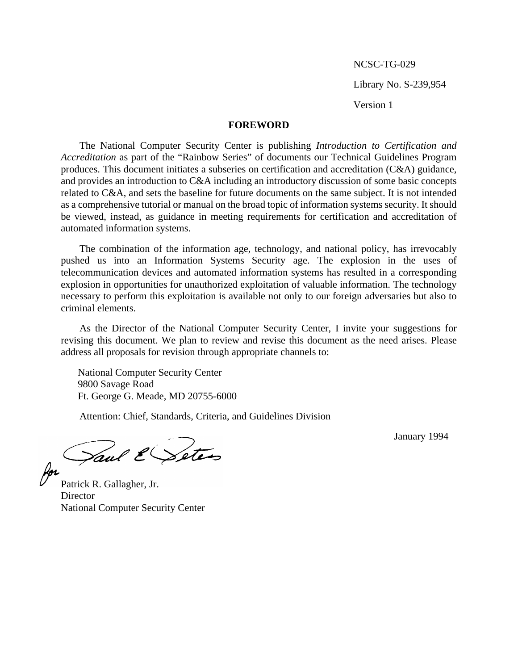NCSC-TG-029

Library No. S-239,954

Version 1

#### **FOREWORD**

The National Computer Security Center is publishing *Introduction to Certification and Accreditation* as part of the "Rainbow Series" of documents our Technical Guidelines Program produces. This document initiates a subseries on certification and accreditation (C&A) guidance, and provides an introduction to C&A including an introductory discussion of some basic concepts related to C&A, and sets the baseline for future documents on the same subject. It is not intended as a comprehensive tutorial or manual on the broad topic of information systems security. It should be viewed, instead, as guidance in meeting requirements for certification and accreditation of automated information systems.

The combination of the information age, technology, and national policy, has irrevocably pushed us into an Information Systems Security age. The explosion in the uses of telecommunication devices and automated information systems has resulted in a corresponding explosion in opportunities for unauthorized exploitation of valuable information. The technology necessary to perform this exploitation is available not only to our foreign adversaries but also to criminal elements.

As the Director of the National Computer Security Center, I invite your suggestions for revising this document. We plan to review and revise this document as the need arises. Please address all proposals for revision through appropriate channels to:

National Computer Security Center 9800 Savage Road Ft. George G. Meade, MD 20755-6000

Attention: Chief, Standards, Criteria, and Guidelines Division

Saul ESetes

January 1994

Patrick R. Gallagher, Jr. **Director** National Computer Security Center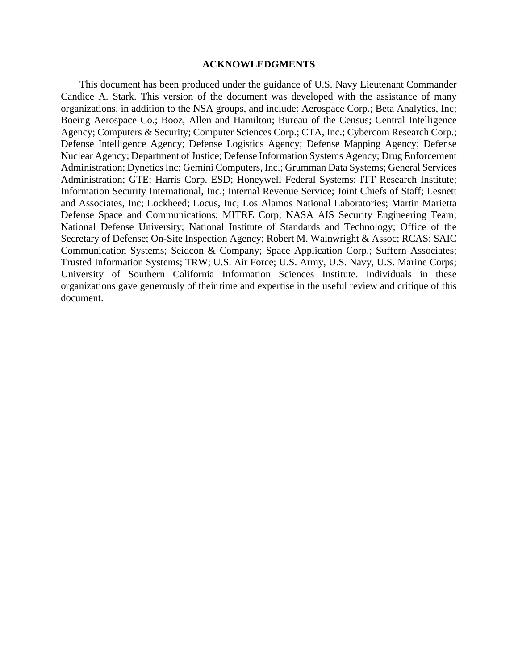#### **ACKNOWLEDGMENTS**

This document has been produced under the guidance of U.S. Navy Lieutenant Commander Candice A. Stark. This version of the document was developed with the assistance of many organizations, in addition to the NSA groups, and include: Aerospace Corp.; Beta Analytics, Inc; Boeing Aerospace Co.; Booz, Allen and Hamilton; Bureau of the Census; Central Intelligence Agency; Computers & Security; Computer Sciences Corp.; CTA, Inc.; Cybercom Research Corp.; Defense Intelligence Agency; Defense Logistics Agency; Defense Mapping Agency; Defense Nuclear Agency; Department of Justice; Defense Information Systems Agency; Drug Enforcement Administration; Dynetics Inc; Gemini Computers, Inc.; Grumman Data Systems; General Services Administration; GTE; Harris Corp. ESD; Honeywell Federal Systems; ITT Research Institute; Information Security International, Inc.; Internal Revenue Service; Joint Chiefs of Staff; Lesnett and Associates, Inc; Lockheed; Locus, Inc; Los Alamos National Laboratories; Martin Marietta Defense Space and Communications; MITRE Corp; NASA AIS Security Engineering Team; National Defense University; National Institute of Standards and Technology; Office of the Secretary of Defense; On-Site Inspection Agency; Robert M. Wainwright & Assoc; RCAS; SAIC Communication Systems; Seidcon & Company; Space Application Corp.; Suffern Associates; Trusted Information Systems; TRW; U.S. Air Force; U.S. Army, U.S. Navy, U.S. Marine Corps; University of Southern California Information Sciences Institute. Individuals in these organizations gave generously of their time and expertise in the useful review and critique of this document.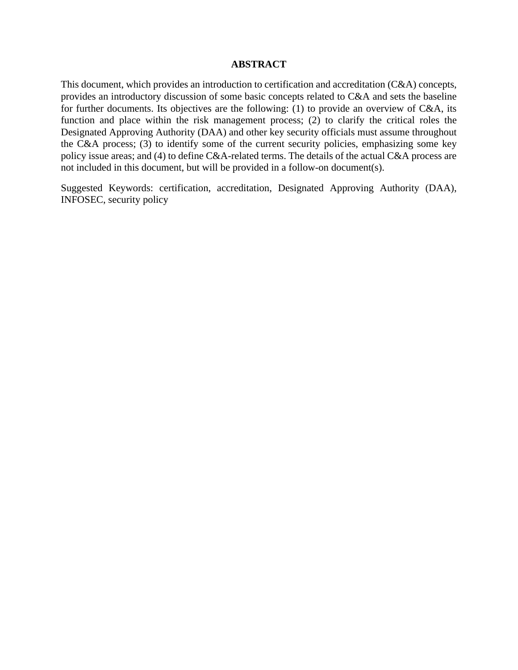#### **ABSTRACT**

This document, which provides an introduction to certification and accreditation (C&A) concepts, provides an introductory discussion of some basic concepts related to C&A and sets the baseline for further documents. Its objectives are the following: (1) to provide an overview of C&A, its function and place within the risk management process; (2) to clarify the critical roles the Designated Approving Authority (DAA) and other key security officials must assume throughout the C&A process; (3) to identify some of the current security policies, emphasizing some key policy issue areas; and (4) to define C&A-related terms. The details of the actual C&A process are not included in this document, but will be provided in a follow-on document(s).

Suggested Keywords: certification, accreditation, Designated Approving Authority (DAA), INFOSEC, security policy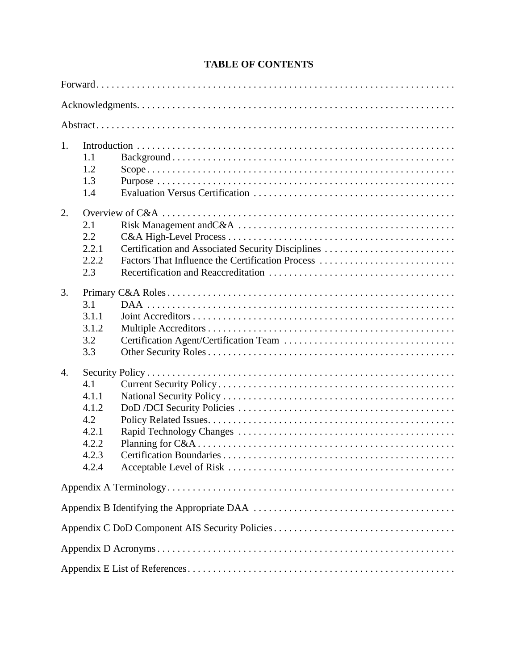# **TABLE OF CONTENTS**

| 1.               | 1.1<br>1.2<br>1.3<br>1.4                                         |                                                                                                       |  |  |  |  |  |
|------------------|------------------------------------------------------------------|-------------------------------------------------------------------------------------------------------|--|--|--|--|--|
| 2.               | 2.1<br>2.2<br>2.2.1<br>2.2.2<br>2.3                              | Certification and Associated Security Disciplines<br>Factors That Influence the Certification Process |  |  |  |  |  |
| 3.               | 3.1<br>3.1.1<br>3.1.2<br>3.2<br>3.3                              |                                                                                                       |  |  |  |  |  |
| $\overline{4}$ . | 4.1<br>4.1.1<br>4.1.2<br>4.2<br>4.2.1<br>4.2.2<br>4.2.3<br>4.2.4 |                                                                                                       |  |  |  |  |  |
|                  |                                                                  |                                                                                                       |  |  |  |  |  |
|                  |                                                                  |                                                                                                       |  |  |  |  |  |
|                  |                                                                  |                                                                                                       |  |  |  |  |  |
|                  |                                                                  |                                                                                                       |  |  |  |  |  |
|                  |                                                                  |                                                                                                       |  |  |  |  |  |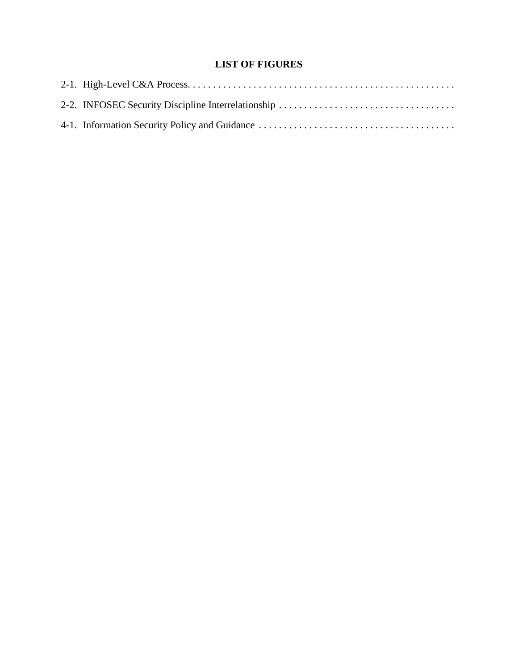# **LIST OF FIGURES**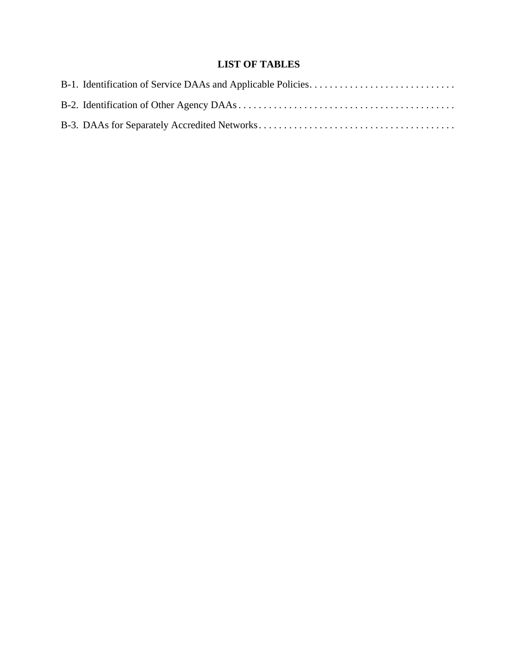# **LIST OF TABLES**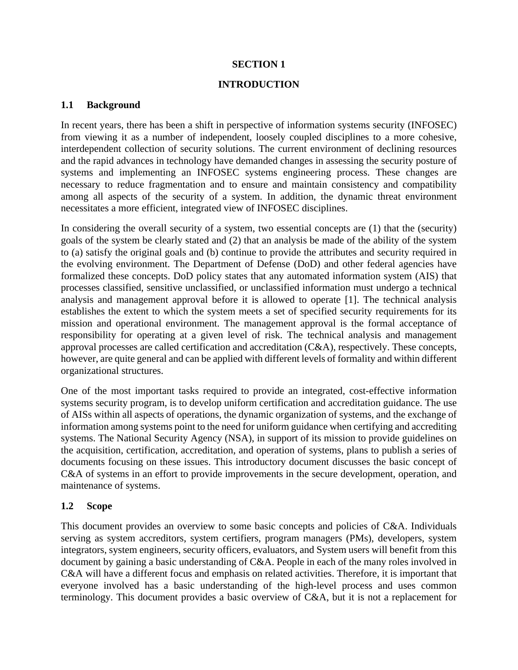# **SECTION 1**

## **INTRODUCTION**

## **1.1 Background**

In recent years, there has been a shift in perspective of information systems security (INFOSEC) from viewing it as a number of independent, loosely coupled disciplines to a more cohesive, interdependent collection of security solutions. The current environment of declining resources and the rapid advances in technology have demanded changes in assessing the security posture of systems and implementing an INFOSEC systems engineering process. These changes are necessary to reduce fragmentation and to ensure and maintain consistency and compatibility among all aspects of the security of a system. In addition, the dynamic threat environment necessitates a more efficient, integrated view of INFOSEC disciplines.

In considering the overall security of a system, two essential concepts are (1) that the (security) goals of the system be clearly stated and (2) that an analysis be made of the ability of the system to (a) satisfy the original goals and (b) continue to provide the attributes and security required in the evolving environment. The Department of Defense (DoD) and other federal agencies have formalized these concepts. DoD policy states that any automated information system (AIS) that processes classified, sensitive unclassified, or unclassified information must undergo a technical analysis and management approval before it is allowed to operate [1]. The technical analysis establishes the extent to which the system meets a set of specified security requirements for its mission and operational environment. The management approval is the formal acceptance of responsibility for operating at a given level of risk. The technical analysis and management approval processes are called certification and accreditation (C&A), respectively. These concepts, however, are quite general and can be applied with different levels of formality and within different organizational structures.

One of the most important tasks required to provide an integrated, cost-effective information systems security program, is to develop uniform certification and accreditation guidance. The use of AISs within all aspects of operations, the dynamic organization of systems, and the exchange of information among systems point to the need for uniform guidance when certifying and accrediting systems. The National Security Agency (NSA), in support of its mission to provide guidelines on the acquisition, certification, accreditation, and operation of systems, plans to publish a series of documents focusing on these issues. This introductory document discusses the basic concept of C&A of systems in an effort to provide improvements in the secure development, operation, and maintenance of systems.

# **1.2 Scope**

This document provides an overview to some basic concepts and policies of C&A. Individuals serving as system accreditors, system certifiers, program managers (PMs), developers, system integrators, system engineers, security officers, evaluators, and System users will benefit from this document by gaining a basic understanding of C&A. People in each of the many roles involved in C&A will have a different focus and emphasis on related activities. Therefore, it is important that everyone involved has a basic understanding of the high-level process and uses common terminology. This document provides a basic overview of C&A, but it is not a replacement for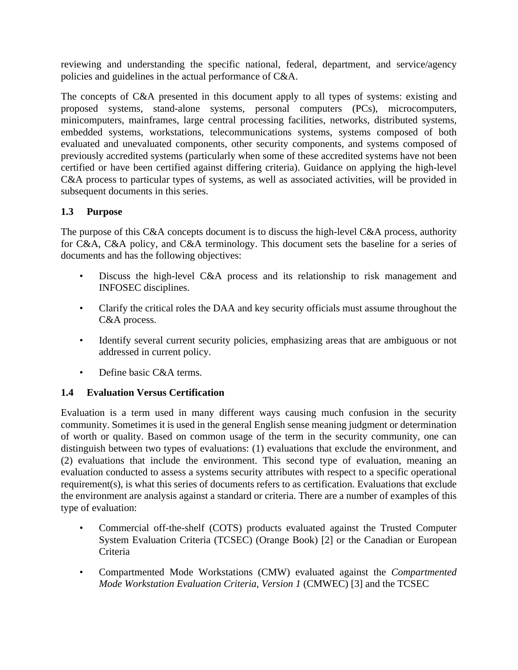reviewing and understanding the specific national, federal, department, and service/agency policies and guidelines in the actual performance of C&A.

The concepts of C&A presented in this document apply to all types of systems: existing and proposed systems, stand-alone systems, personal computers (PCs), microcomputers, minicomputers, mainframes, large central processing facilities, networks, distributed systems, embedded systems, workstations, telecommunications systems, systems composed of both evaluated and unevaluated components, other security components, and systems composed of previously accredited systems (particularly when some of these accredited systems have not been certified or have been certified against differing criteria). Guidance on applying the high-level C&A process to particular types of systems, as well as associated activities, will be provided in subsequent documents in this series.

# **1.3 Purpose**

The purpose of this C&A concepts document is to discuss the high-level C&A process, authority for C&A, C&A policy, and C&A terminology. This document sets the baseline for a series of documents and has the following objectives:

- Discuss the high-level C&A process and its relationship to risk management and INFOSEC disciplines.
- Clarify the critical roles the DAA and key security officials must assume throughout the C&A process.
- Identify several current security policies, emphasizing areas that are ambiguous or not addressed in current policy.
- Define basic C&A terms.

# **1.4 Evaluation Versus Certification**

Evaluation is a term used in many different ways causing much confusion in the security community. Sometimes it is used in the general English sense meaning judgment or determination of worth or quality. Based on common usage of the term in the security community, one can distinguish between two types of evaluations: (1) evaluations that exclude the environment, and (2) evaluations that include the environment. This second type of evaluation, meaning an evaluation conducted to assess a systems security attributes with respect to a specific operational requirement(s), is what this series of documents refers to as certification. Evaluations that exclude the environment are analysis against a standard or criteria. There are a number of examples of this type of evaluation:

- Commercial off-the-shelf (COTS) products evaluated against the Trusted Computer System Evaluation Criteria (TCSEC) (Orange Book) [2] or the Canadian or European Criteria
- Compartmented Mode Workstations (CMW) evaluated against the *Compartmented Mode Workstation Evaluation Criteria, Version 1* (CMWEC) [3] and the TCSEC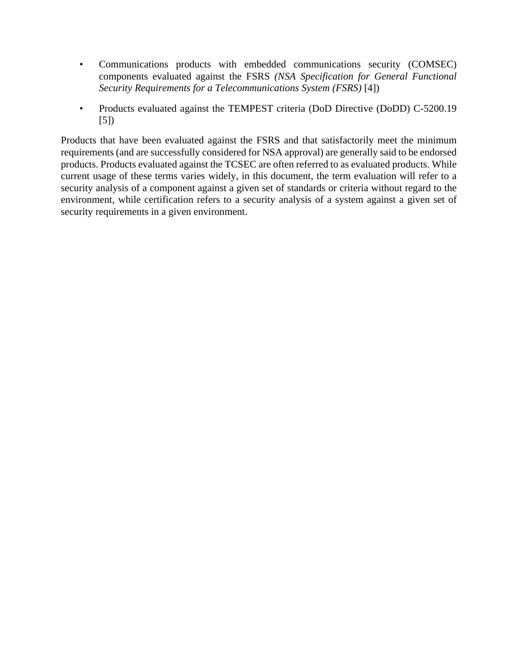- Communications products with embedded communications security (COMSEC) components evaluated against the FSRS *(NSA Specification for General Functional Security Requirements for a Telecommunications System (FSRS)* [4])
- Products evaluated against the TEMPEST criteria (DoD Directive (DoDD) C-5200.19 [5])

Products that have been evaluated against the FSRS and that satisfactorily meet the minimum requirements (and are successfully considered for NSA approval) are generally said to be endorsed products. Products evaluated against the TCSEC are often referred to as evaluated products. While current usage of these terms varies widely, in this document, the term evaluation will refer to a security analysis of a component against a given set of standards or criteria without regard to the environment, while certification refers to a security analysis of a system against a given set of security requirements in a given environment.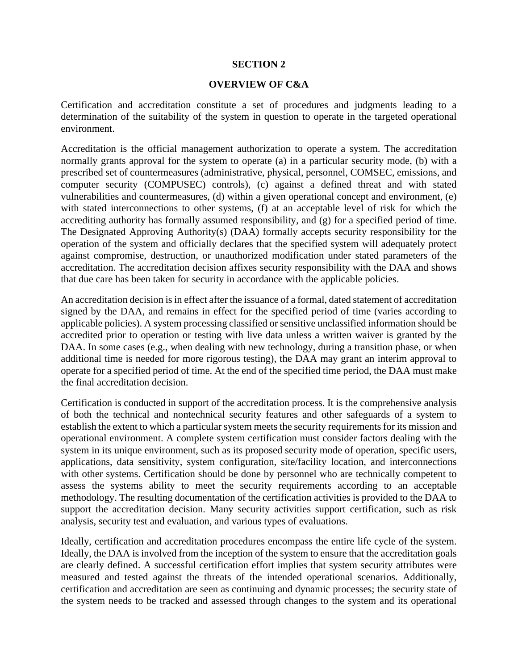### **SECTION 2**

### **OVERVIEW OF C&A**

Certification and accreditation constitute a set of procedures and judgments leading to a determination of the suitability of the system in question to operate in the targeted operational environment.

Accreditation is the official management authorization to operate a system. The accreditation normally grants approval for the system to operate (a) in a particular security mode, (b) with a prescribed set of countermeasures (administrative, physical, personnel, COMSEC, emissions, and computer security (COMPUSEC) controls), (c) against a defined threat and with stated vulnerabilities and countermeasures, (d) within a given operational concept and environment, (e) with stated interconnections to other systems, (f) at an acceptable level of risk for which the accrediting authority has formally assumed responsibility, and (g) for a specified period of time. The Designated Approving Authority(s) (DAA) formally accepts security responsibility for the operation of the system and officially declares that the specified system will adequately protect against compromise, destruction, or unauthorized modification under stated parameters of the accreditation. The accreditation decision affixes security responsibility with the DAA and shows that due care has been taken for security in accordance with the applicable policies.

An accreditation decision is in effect after the issuance of a formal, dated statement of accreditation signed by the DAA, and remains in effect for the specified period of time (varies according to applicable policies). A system processing classified or sensitive unclassified information should be accredited prior to operation or testing with live data unless a written waiver is granted by the DAA. In some cases (e.g., when dealing with new technology, during a transition phase, or when additional time is needed for more rigorous testing), the DAA may grant an interim approval to operate for a specified period of time. At the end of the specified time period, the DAA must make the final accreditation decision.

Certification is conducted in support of the accreditation process. It is the comprehensive analysis of both the technical and nontechnical security features and other safeguards of a system to establish the extent to which a particular system meets the security requirements for its mission and operational environment. A complete system certification must consider factors dealing with the system in its unique environment, such as its proposed security mode of operation, specific users, applications, data sensitivity, system configuration, site/facility location, and interconnections with other systems. Certification should be done by personnel who are technically competent to assess the systems ability to meet the security requirements according to an acceptable methodology. The resulting documentation of the certification activities is provided to the DAA to support the accreditation decision. Many security activities support certification, such as risk analysis, security test and evaluation, and various types of evaluations.

Ideally, certification and accreditation procedures encompass the entire life cycle of the system. Ideally, the DAA is involved from the inception of the system to ensure that the accreditation goals are clearly defined. A successful certification effort implies that system security attributes were measured and tested against the threats of the intended operational scenarios. Additionally, certification and accreditation are seen as continuing and dynamic processes; the security state of the system needs to be tracked and assessed through changes to the system and its operational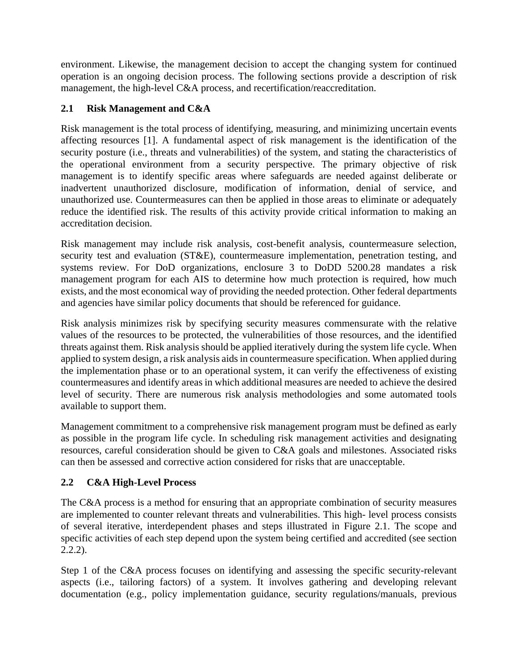environment. Likewise, the management decision to accept the changing system for continued operation is an ongoing decision process. The following sections provide a description of risk management, the high-level C&A process, and recertification/reaccreditation.

# **2.1 Risk Management and C&A**

Risk management is the total process of identifying, measuring, and minimizing uncertain events affecting resources [1]. A fundamental aspect of risk management is the identification of the security posture (i.e., threats and vulnerabilities) of the system, and stating the characteristics of the operational environment from a security perspective. The primary objective of risk management is to identify specific areas where safeguards are needed against deliberate or inadvertent unauthorized disclosure, modification of information, denial of service, and unauthorized use. Countermeasures can then be applied in those areas to eliminate or adequately reduce the identified risk. The results of this activity provide critical information to making an accreditation decision.

Risk management may include risk analysis, cost-benefit analysis, countermeasure selection, security test and evaluation (ST&E), countermeasure implementation, penetration testing, and systems review. For DoD organizations, enclosure 3 to DoDD 5200.28 mandates a risk management program for each AIS to determine how much protection is required, how much exists, and the most economical way of providing the needed protection. Other federal departments and agencies have similar policy documents that should be referenced for guidance.

Risk analysis minimizes risk by specifying security measures commensurate with the relative values of the resources to be protected, the vulnerabilities of those resources, and the identified threats against them. Risk analysis should be applied iteratively during the system life cycle. When applied to system design, a risk analysis aids in countermeasure specification. When applied during the implementation phase or to an operational system, it can verify the effectiveness of existing countermeasures and identify areas in which additional measures are needed to achieve the desired level of security. There are numerous risk analysis methodologies and some automated tools available to support them.

Management commitment to a comprehensive risk management program must be defined as early as possible in the program life cycle. In scheduling risk management activities and designating resources, careful consideration should be given to C&A goals and milestones. Associated risks can then be assessed and corrective action considered for risks that are unacceptable.

# **2.2 C&A High-Level Process**

The C&A process is a method for ensuring that an appropriate combination of security measures are implemented to counter relevant threats and vulnerabilities. This high- level process consists of several iterative, interdependent phases and steps illustrated in Figure 2.1. The scope and specific activities of each step depend upon the system being certified and accredited (see section 2.2.2).

Step 1 of the C&A process focuses on identifying and assessing the specific security-relevant aspects (i.e., tailoring factors) of a system. It involves gathering and developing relevant documentation (e.g., policy implementation guidance, security regulations/manuals, previous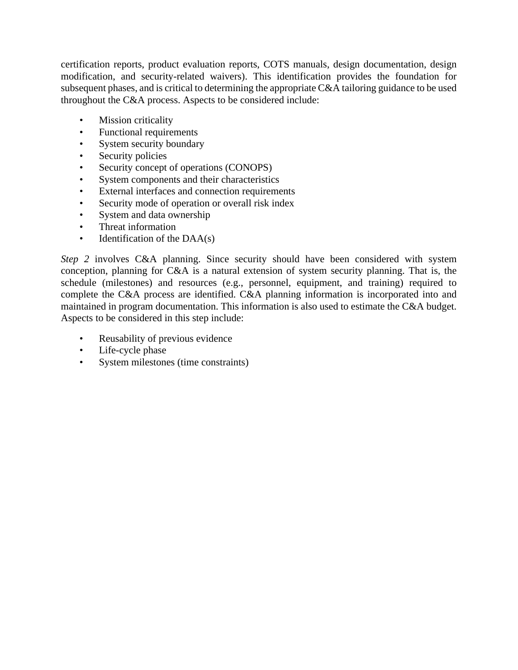certification reports, product evaluation reports, COTS manuals, design documentation, design modification, and security-related waivers). This identification provides the foundation for subsequent phases, and is critical to determining the appropriate C&A tailoring guidance to be used throughout the C&A process. Aspects to be considered include:

- Mission criticality
- Functional requirements
- System security boundary
- Security policies
- Security concept of operations (CONOPS)
- System components and their characteristics
- External interfaces and connection requirements
- Security mode of operation or overall risk index
- System and data ownership
- Threat information
- Identification of the DAA(s)

*Step 2* involves C&A planning. Since security should have been considered with system conception, planning for C&A is a natural extension of system security planning. That is, the schedule (milestones) and resources (e.g., personnel, equipment, and training) required to complete the C&A process are identified. C&A planning information is incorporated into and maintained in program documentation. This information is also used to estimate the C&A budget. Aspects to be considered in this step include:

- Reusability of previous evidence
- Life-cycle phase
- System milestones (time constraints)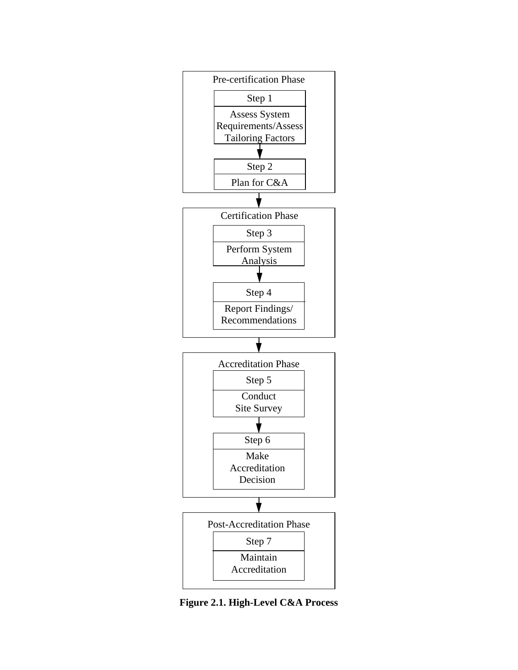

**Figure 2.1. High-Level C&A Process**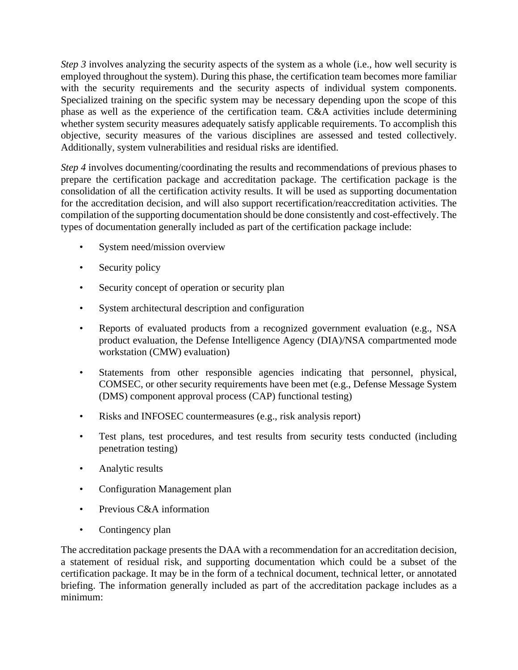*Step 3* involves analyzing the security aspects of the system as a whole (i.e., how well security is employed throughout the system). During this phase, the certification team becomes more familiar with the security requirements and the security aspects of individual system components. Specialized training on the specific system may be necessary depending upon the scope of this phase as well as the experience of the certification team. C&A activities include determining whether system security measures adequately satisfy applicable requirements. To accomplish this objective, security measures of the various disciplines are assessed and tested collectively. Additionally, system vulnerabilities and residual risks are identified.

*Step 4* involves documenting/coordinating the results and recommendations of previous phases to prepare the certification package and accreditation package. The certification package is the consolidation of all the certification activity results. It will be used as supporting documentation for the accreditation decision, and will also support recertification/reaccreditation activities. The compilation of the supporting documentation should be done consistently and cost-effectively. The types of documentation generally included as part of the certification package include:

- System need/mission overview
- Security policy
- Security concept of operation or security plan
- System architectural description and configuration
- Reports of evaluated products from a recognized government evaluation (e.g., NSA product evaluation, the Defense Intelligence Agency (DIA)/NSA compartmented mode workstation (CMW) evaluation)
- Statements from other responsible agencies indicating that personnel, physical, COMSEC, or other security requirements have been met (e.g., Defense Message System (DMS) component approval process (CAP) functional testing)
- Risks and INFOSEC countermeasures (e.g., risk analysis report)
- Test plans, test procedures, and test results from security tests conducted (including penetration testing)
- Analytic results
- Configuration Management plan
- Previous C&A information
- Contingency plan

The accreditation package presents the DAA with a recommendation for an accreditation decision, a statement of residual risk, and supporting documentation which could be a subset of the certification package. It may be in the form of a technical document, technical letter, or annotated briefing. The information generally included as part of the accreditation package includes as a minimum: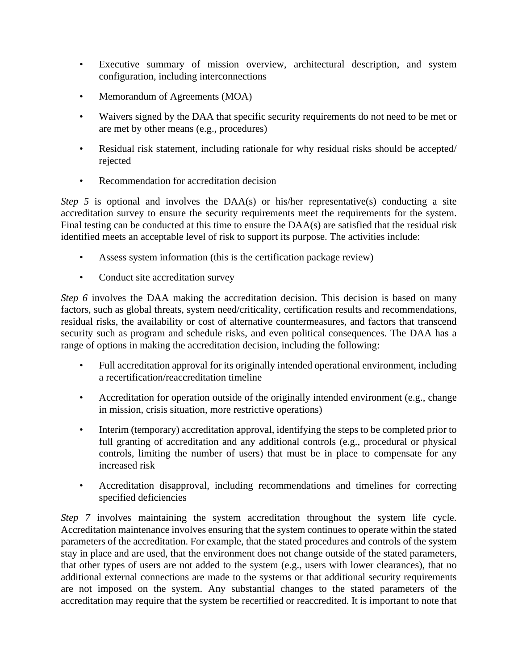- Executive summary of mission overview, architectural description, and system configuration, including interconnections
- Memorandum of Agreements (MOA)
- Waivers signed by the DAA that specific security requirements do not need to be met or are met by other means (e.g., procedures)
- Residual risk statement, including rationale for why residual risks should be accepted/ rejected
- Recommendation for accreditation decision

*Step 5* is optional and involves the DAA(s) or his/her representative(s) conducting a site accreditation survey to ensure the security requirements meet the requirements for the system. Final testing can be conducted at this time to ensure the DAA(s) are satisfied that the residual risk identified meets an acceptable level of risk to support its purpose. The activities include:

- Assess system information (this is the certification package review)
- Conduct site accreditation survey

*Step 6* involves the DAA making the accreditation decision. This decision is based on many factors, such as global threats, system need/criticality, certification results and recommendations, residual risks, the availability or cost of alternative countermeasures, and factors that transcend security such as program and schedule risks, and even political consequences. The DAA has a range of options in making the accreditation decision, including the following:

- Full accreditation approval for its originally intended operational environment, including a recertification/reaccreditation timeline
- Accreditation for operation outside of the originally intended environment (e.g., change in mission, crisis situation, more restrictive operations)
- Interim (temporary) accreditation approval, identifying the steps to be completed prior to full granting of accreditation and any additional controls (e.g., procedural or physical controls, limiting the number of users) that must be in place to compensate for any increased risk
- Accreditation disapproval, including recommendations and timelines for correcting specified deficiencies

*Step 7* involves maintaining the system accreditation throughout the system life cycle. Accreditation maintenance involves ensuring that the system continues to operate within the stated parameters of the accreditation. For example, that the stated procedures and controls of the system stay in place and are used, that the environment does not change outside of the stated parameters, that other types of users are not added to the system (e.g., users with lower clearances), that no additional external connections are made to the systems or that additional security requirements are not imposed on the system. Any substantial changes to the stated parameters of the accreditation may require that the system be recertified or reaccredited. It is important to note that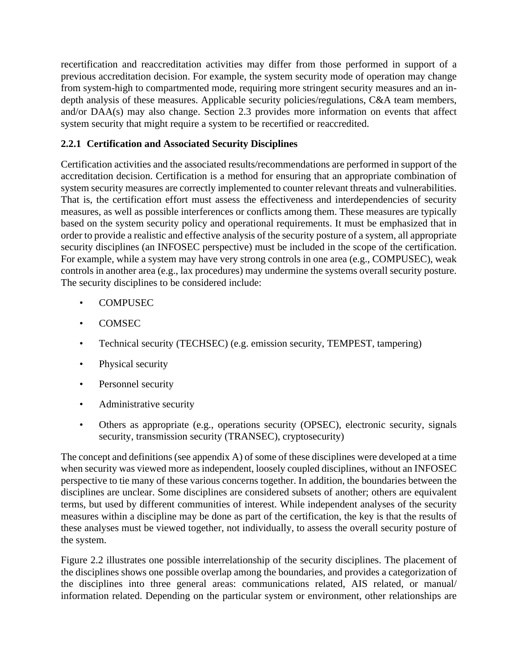recertification and reaccreditation activities may differ from those performed in support of a previous accreditation decision. For example, the system security mode of operation may change from system-high to compartmented mode, requiring more stringent security measures and an indepth analysis of these measures. Applicable security policies/regulations, C&A team members, and/or DAA(s) may also change. Section 2.3 provides more information on events that affect system security that might require a system to be recertified or reaccredited.

# **2.2.1 Certification and Associated Security Disciplines**

Certification activities and the associated results/recommendations are performed in support of the accreditation decision. Certification is a method for ensuring that an appropriate combination of system security measures are correctly implemented to counter relevant threats and vulnerabilities. That is, the certification effort must assess the effectiveness and interdependencies of security measures, as well as possible interferences or conflicts among them. These measures are typically based on the system security policy and operational requirements. It must be emphasized that in order to provide a realistic and effective analysis of the security posture of a system, all appropriate security disciplines (an INFOSEC perspective) must be included in the scope of the certification. For example, while a system may have very strong controls in one area (e.g., COMPUSEC), weak controls in another area (e.g., lax procedures) may undermine the systems overall security posture. The security disciplines to be considered include:

- COMPUSEC
- COMSEC
- Technical security (TECHSEC) (e.g. emission security, TEMPEST, tampering)
- Physical security
- Personnel security
- Administrative security
- Others as appropriate (e.g., operations security (OPSEC), electronic security, signals security, transmission security (TRANSEC), cryptosecurity)

The concept and definitions (see appendix A) of some of these disciplines were developed at a time when security was viewed more as independent, loosely coupled disciplines, without an INFOSEC perspective to tie many of these various concerns together. In addition, the boundaries between the disciplines are unclear. Some disciplines are considered subsets of another; others are equivalent terms, but used by different communities of interest. While independent analyses of the security measures within a discipline may be done as part of the certification, the key is that the results of these analyses must be viewed together, not individually, to assess the overall security posture of the system.

Figure 2.2 illustrates one possible interrelationship of the security disciplines. The placement of the disciplines shows one possible overlap among the boundaries, and provides a categorization of the disciplines into three general areas: communications related, AIS related, or manual/ information related. Depending on the particular system or environment, other relationships are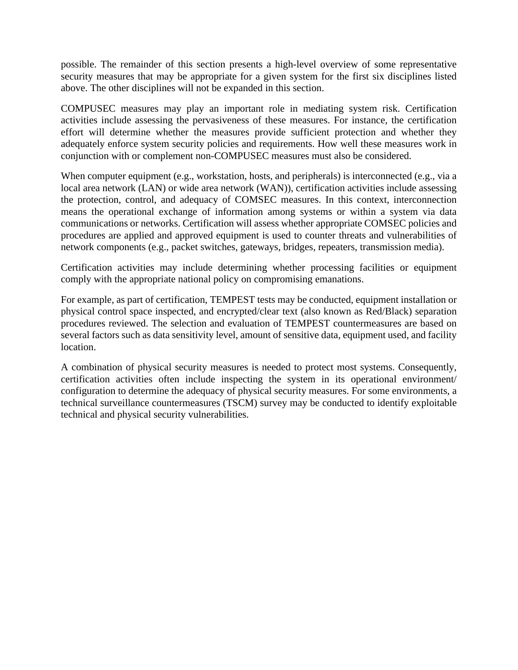possible. The remainder of this section presents a high-level overview of some representative security measures that may be appropriate for a given system for the first six disciplines listed above. The other disciplines will not be expanded in this section.

COMPUSEC measures may play an important role in mediating system risk. Certification activities include assessing the pervasiveness of these measures. For instance, the certification effort will determine whether the measures provide sufficient protection and whether they adequately enforce system security policies and requirements. How well these measures work in conjunction with or complement non-COMPUSEC measures must also be considered.

When computer equipment (e.g., workstation, hosts, and peripherals) is interconnected (e.g., via a local area network (LAN) or wide area network (WAN)), certification activities include assessing the protection, control, and adequacy of COMSEC measures. In this context, interconnection means the operational exchange of information among systems or within a system via data communications or networks. Certification will assess whether appropriate COMSEC policies and procedures are applied and approved equipment is used to counter threats and vulnerabilities of network components (e.g., packet switches, gateways, bridges, repeaters, transmission media).

Certification activities may include determining whether processing facilities or equipment comply with the appropriate national policy on compromising emanations.

For example, as part of certification, TEMPEST tests may be conducted, equipment installation or physical control space inspected, and encrypted/clear text (also known as Red/Black) separation procedures reviewed. The selection and evaluation of TEMPEST countermeasures are based on several factors such as data sensitivity level, amount of sensitive data, equipment used, and facility location.

A combination of physical security measures is needed to protect most systems. Consequently, certification activities often include inspecting the system in its operational environment/ configuration to determine the adequacy of physical security measures. For some environments, a technical surveillance countermeasures (TSCM) survey may be conducted to identify exploitable technical and physical security vulnerabilities.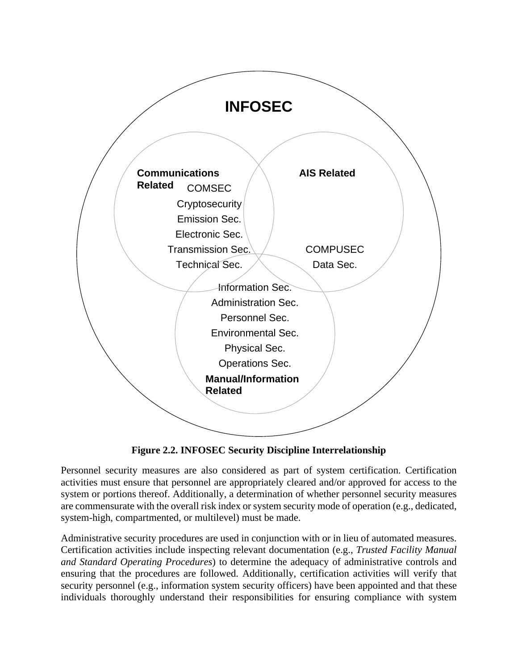

**Figure 2.2. INFOSEC Security Discipline Interrelationship**

Personnel security measures are also considered as part of system certification. Certification activities must ensure that personnel are appropriately cleared and/or approved for access to the system or portions thereof. Additionally, a determination of whether personnel security measures are commensurate with the overall risk index or system security mode of operation (e.g., dedicated, system-high, compartmented, or multilevel) must be made.

Administrative security procedures are used in conjunction with or in lieu of automated measures. Certification activities include inspecting relevant documentation (e.g., *Trusted Facility Manual and Standard Operating Procedures*) to determine the adequacy of administrative controls and ensuring that the procedures are followed. Additionally, certification activities will verify that security personnel (e.g., information system security officers) have been appointed and that these individuals thoroughly understand their responsibilities for ensuring compliance with system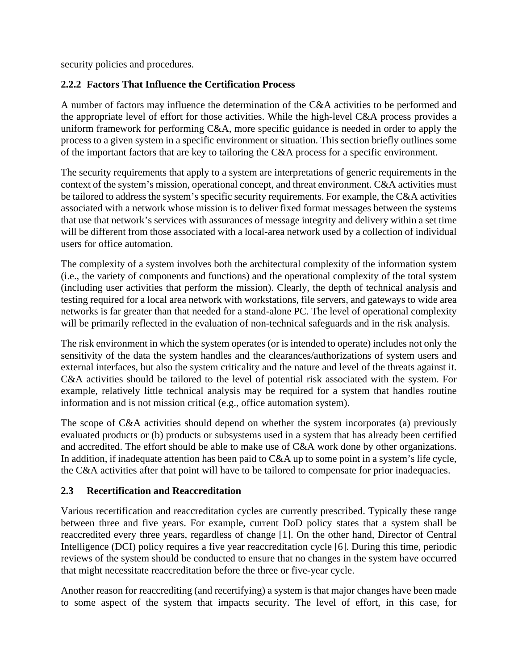security policies and procedures.

# **2.2.2 Factors That Influence the Certification Process**

A number of factors may influence the determination of the C&A activities to be performed and the appropriate level of effort for those activities. While the high-level C&A process provides a uniform framework for performing C&A, more specific guidance is needed in order to apply the process to a given system in a specific environment or situation. This section briefly outlines some of the important factors that are key to tailoring the C&A process for a specific environment.

The security requirements that apply to a system are interpretations of generic requirements in the context of the system's mission, operational concept, and threat environment. C&A activities must be tailored to address the system's specific security requirements. For example, the C&A activities associated with a network whose mission is to deliver fixed format messages between the systems that use that network's services with assurances of message integrity and delivery within a set time will be different from those associated with a local-area network used by a collection of individual users for office automation.

The complexity of a system involves both the architectural complexity of the information system (i.e., the variety of components and functions) and the operational complexity of the total system (including user activities that perform the mission). Clearly, the depth of technical analysis and testing required for a local area network with workstations, file servers, and gateways to wide area networks is far greater than that needed for a stand-alone PC. The level of operational complexity will be primarily reflected in the evaluation of non-technical safeguards and in the risk analysis.

The risk environment in which the system operates (or is intended to operate) includes not only the sensitivity of the data the system handles and the clearances/authorizations of system users and external interfaces, but also the system criticality and the nature and level of the threats against it. C&A activities should be tailored to the level of potential risk associated with the system. For example, relatively little technical analysis may be required for a system that handles routine information and is not mission critical (e.g., office automation system).

The scope of C&A activities should depend on whether the system incorporates (a) previously evaluated products or (b) products or subsystems used in a system that has already been certified and accredited. The effort should be able to make use of C&A work done by other organizations. In addition, if inadequate attention has been paid to C&A up to some point in a system's life cycle, the C&A activities after that point will have to be tailored to compensate for prior inadequacies.

# **2.3 Recertification and Reaccreditation**

Various recertification and reaccreditation cycles are currently prescribed. Typically these range between three and five years. For example, current DoD policy states that a system shall be reaccredited every three years, regardless of change [1]. On the other hand, Director of Central Intelligence (DCI) policy requires a five year reaccreditation cycle [6]. During this time, periodic reviews of the system should be conducted to ensure that no changes in the system have occurred that might necessitate reaccreditation before the three or five-year cycle.

Another reason for reaccrediting (and recertifying) a system is that major changes have been made to some aspect of the system that impacts security. The level of effort, in this case, for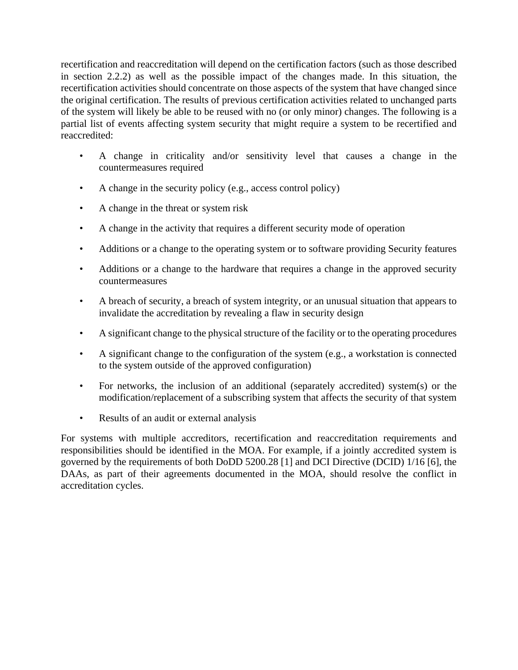recertification and reaccreditation will depend on the certification factors (such as those described in section 2.2.2) as well as the possible impact of the changes made. In this situation, the recertification activities should concentrate on those aspects of the system that have changed since the original certification. The results of previous certification activities related to unchanged parts of the system will likely be able to be reused with no (or only minor) changes. The following is a partial list of events affecting system security that might require a system to be recertified and reaccredited:

- A change in criticality and/or sensitivity level that causes a change in the countermeasures required
- A change in the security policy (e.g., access control policy)
- A change in the threat or system risk
- A change in the activity that requires a different security mode of operation
- Additions or a change to the operating system or to software providing Security features
- Additions or a change to the hardware that requires a change in the approved security countermeasures
- A breach of security, a breach of system integrity, or an unusual situation that appears to invalidate the accreditation by revealing a flaw in security design
- A significant change to the physical structure of the facility or to the operating procedures
- A significant change to the configuration of the system (e.g., a workstation is connected to the system outside of the approved configuration)
- For networks, the inclusion of an additional (separately accredited) system(s) or the modification/replacement of a subscribing system that affects the security of that system
- Results of an audit or external analysis

For systems with multiple accreditors, recertification and reaccreditation requirements and responsibilities should be identified in the MOA. For example, if a jointly accredited system is governed by the requirements of both DoDD 5200.28 [1] and DCI Directive (DCID) 1/16 [6], the DAAs, as part of their agreements documented in the MOA, should resolve the conflict in accreditation cycles.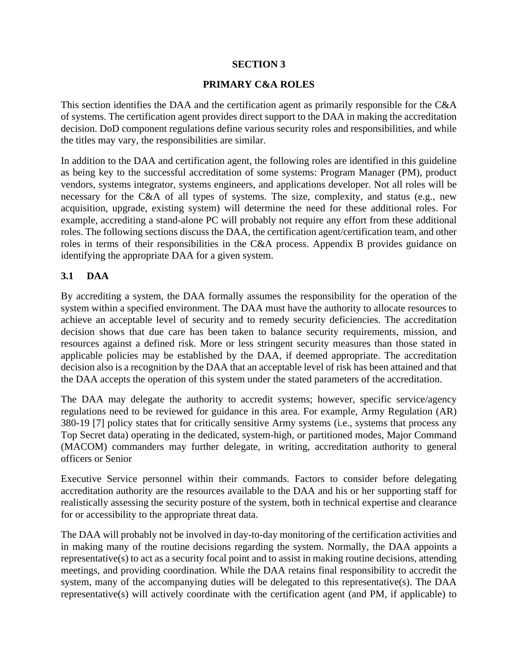# **SECTION 3**

# **PRIMARY C&A ROLES**

This section identifies the DAA and the certification agent as primarily responsible for the C&A of systems. The certification agent provides direct support to the DAA in making the accreditation decision. DoD component regulations define various security roles and responsibilities, and while the titles may vary, the responsibilities are similar.

In addition to the DAA and certification agent, the following roles are identified in this guideline as being key to the successful accreditation of some systems: Program Manager (PM), product vendors, systems integrator, systems engineers, and applications developer. Not all roles will be necessary for the C&A of all types of systems. The size, complexity, and status (e.g., new acquisition, upgrade, existing system) will determine the need for these additional roles. For example, accrediting a stand-alone PC will probably not require any effort from these additional roles. The following sections discuss the DAA, the certification agent/certification team, and other roles in terms of their responsibilities in the C&A process. Appendix B provides guidance on identifying the appropriate DAA for a given system.

# **3.1 DAA**

By accrediting a system, the DAA formally assumes the responsibility for the operation of the system within a specified environment. The DAA must have the authority to allocate resources to achieve an acceptable level of security and to remedy security deficiencies. The accreditation decision shows that due care has been taken to balance security requirements, mission, and resources against a defined risk. More or less stringent security measures than those stated in applicable policies may be established by the DAA, if deemed appropriate. The accreditation decision also is a recognition by the DAA that an acceptable level of risk has been attained and that the DAA accepts the operation of this system under the stated parameters of the accreditation.

The DAA may delegate the authority to accredit systems; however, specific service/agency regulations need to be reviewed for guidance in this area. For example, Army Regulation (AR) 380-19 [7] policy states that for critically sensitive Army systems (i.e., systems that process any Top Secret data) operating in the dedicated, system-high, or partitioned modes, Major Command (MACOM) commanders may further delegate, in writing, accreditation authority to general officers or Senior

Executive Service personnel within their commands. Factors to consider before delegating accreditation authority are the resources available to the DAA and his or her supporting staff for realistically assessing the security posture of the system, both in technical expertise and clearance for or accessibility to the appropriate threat data.

The DAA will probably not be involved in day-to-day monitoring of the certification activities and in making many of the routine decisions regarding the system. Normally, the DAA appoints a representative(s) to act as a security focal point and to assist in making routine decisions, attending meetings, and providing coordination. While the DAA retains final responsibility to accredit the system, many of the accompanying duties will be delegated to this representative(s). The DAA representative(s) will actively coordinate with the certification agent (and PM, if applicable) to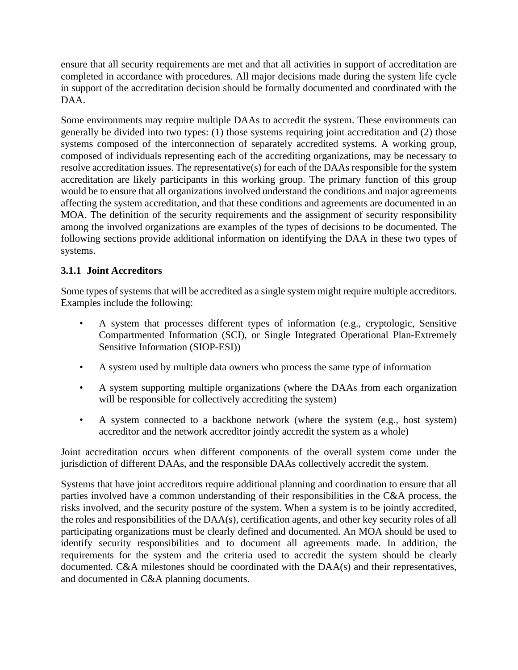ensure that all security requirements are met and that all activities in support of accreditation are completed in accordance with procedures. All major decisions made during the system life cycle in support of the accreditation decision should be formally documented and coordinated with the DAA.

Some environments may require multiple DAAs to accredit the system. These environments can generally be divided into two types: (1) those systems requiring joint accreditation and (2) those systems composed of the interconnection of separately accredited systems. A working group, composed of individuals representing each of the accrediting organizations, may be necessary to resolve accreditation issues. The representative(s) for each of the DAAs responsible for the system accreditation are likely participants in this working group. The primary function of this group would be to ensure that all organizations involved understand the conditions and major agreements affecting the system accreditation, and that these conditions and agreements are documented in an MOA. The definition of the security requirements and the assignment of security responsibility among the involved organizations are examples of the types of decisions to be documented. The following sections provide additional information on identifying the DAA in these two types of systems.

# **3.1.1 Joint Accreditors**

Some types of systems that will be accredited as a single system might require multiple accreditors. Examples include the following:

- A system that processes different types of information (e.g., cryptologic, Sensitive Compartmented Information (SCI), or Single Integrated Operational Plan-Extremely Sensitive Information (SIOP-ESI))
- A system used by multiple data owners who process the same type of information
- A system supporting multiple organizations (where the DAAs from each organization will be responsible for collectively accrediting the system)
- A system connected to a backbone network (where the system (e.g., host system) accreditor and the network accreditor jointly accredit the system as a whole)

Joint accreditation occurs when different components of the overall system come under the jurisdiction of different DAAs, and the responsible DAAs collectively accredit the system.

Systems that have joint accreditors require additional planning and coordination to ensure that all parties involved have a common understanding of their responsibilities in the C&A process, the risks involved, and the security posture of the system. When a system is to be jointly accredited, the roles and responsibilities of the DAA(s), certification agents, and other key security roles of all participating organizations must be clearly defined and documented. An MOA should be used to identify security responsibilities and to document all agreements made. In addition, the requirements for the system and the criteria used to accredit the system should be clearly documented. C&A milestones should be coordinated with the DAA(s) and their representatives, and documented in C&A planning documents.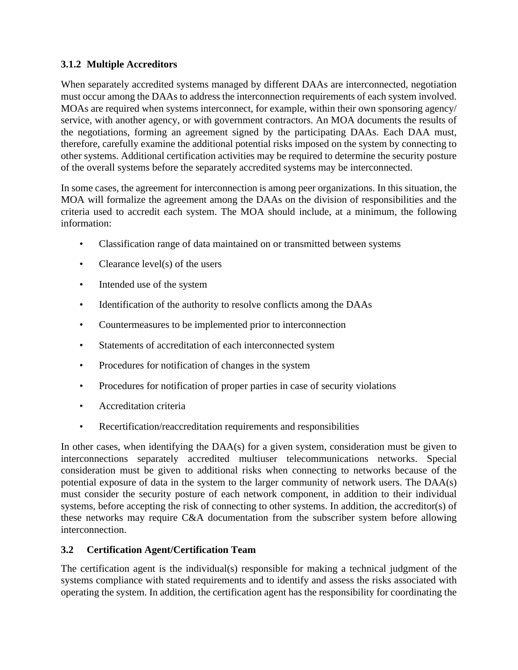# **3.1.2 Multiple Accreditors**

When separately accredited systems managed by different DAAs are interconnected, negotiation must occur among the DAAs to address the interconnection requirements of each system involved. MOAs are required when systems interconnect, for example, within their own sponsoring agency/ service, with another agency, or with government contractors. An MOA documents the results of the negotiations, forming an agreement signed by the participating DAAs. Each DAA must, therefore, carefully examine the additional potential risks imposed on the system by connecting to other systems. Additional certification activities may be required to determine the security posture of the overall systems before the separately accredited systems may be interconnected.

In some cases, the agreement for interconnection is among peer organizations. In this situation, the MOA will formalize the agreement among the DAAs on the division of responsibilities and the criteria used to accredit each system. The MOA should include, at a minimum, the following information:

- Classification range of data maintained on or transmitted between systems
- Clearance level(s) of the users
- Intended use of the system
- Identification of the authority to resolve conflicts among the DAAs
- Countermeasures to be implemented prior to interconnection
- Statements of accreditation of each interconnected system
- Procedures for notification of changes in the system
- Procedures for notification of proper parties in case of security violations
- Accreditation criteria
- Recertification/reaccreditation requirements and responsibilities

In other cases, when identifying the DAA(s) for a given system, consideration must be given to interconnections separately accredited multiuser telecommunications networks. Special consideration must be given to additional risks when connecting to networks because of the potential exposure of data in the system to the larger community of network users. The DAA(s) must consider the security posture of each network component, in addition to their individual systems, before accepting the risk of connecting to other systems. In addition, the accreditor(s) of these networks may require C&A documentation from the subscriber system before allowing interconnection.

# **3.2 Certification Agent/Certification Team**

The certification agent is the individual(s) responsible for making a technical judgment of the systems compliance with stated requirements and to identify and assess the risks associated with operating the system. In addition, the certification agent has the responsibility for coordinating the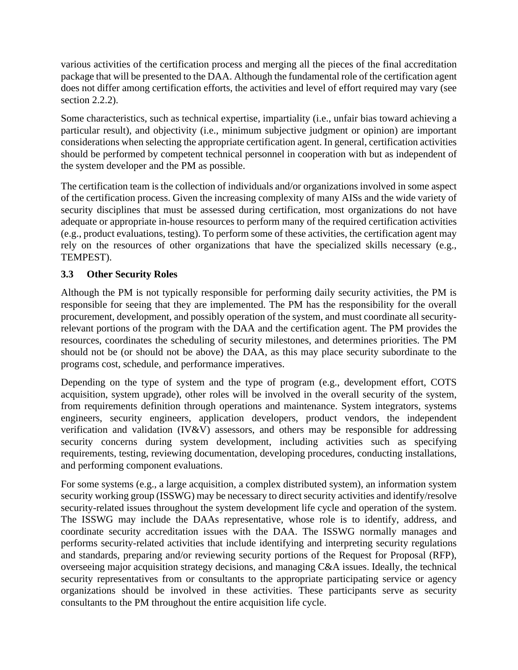various activities of the certification process and merging all the pieces of the final accreditation package that will be presented to the DAA. Although the fundamental role of the certification agent does not differ among certification efforts, the activities and level of effort required may vary (see section 2.2.2).

Some characteristics, such as technical expertise, impartiality (i.e., unfair bias toward achieving a particular result), and objectivity (i.e., minimum subjective judgment or opinion) are important considerations when selecting the appropriate certification agent. In general, certification activities should be performed by competent technical personnel in cooperation with but as independent of the system developer and the PM as possible.

The certification team is the collection of individuals and/or organizations involved in some aspect of the certification process. Given the increasing complexity of many AISs and the wide variety of security disciplines that must be assessed during certification, most organizations do not have adequate or appropriate in-house resources to perform many of the required certification activities (e.g., product evaluations, testing). To perform some of these activities, the certification agent may rely on the resources of other organizations that have the specialized skills necessary (e.g., TEMPEST).

# **3.3 Other Security Roles**

Although the PM is not typically responsible for performing daily security activities, the PM is responsible for seeing that they are implemented. The PM has the responsibility for the overall procurement, development, and possibly operation of the system, and must coordinate all securityrelevant portions of the program with the DAA and the certification agent. The PM provides the resources, coordinates the scheduling of security milestones, and determines priorities. The PM should not be (or should not be above) the DAA, as this may place security subordinate to the programs cost, schedule, and performance imperatives.

Depending on the type of system and the type of program (e.g., development effort, COTS acquisition, system upgrade), other roles will be involved in the overall security of the system, from requirements definition through operations and maintenance. System integrators, systems engineers, security engineers, application developers, product vendors, the independent verification and validation (IV&V) assessors, and others may be responsible for addressing security concerns during system development, including activities such as specifying requirements, testing, reviewing documentation, developing procedures, conducting installations, and performing component evaluations.

For some systems (e.g., a large acquisition, a complex distributed system), an information system security working group (ISSWG) may be necessary to direct security activities and identify/resolve security-related issues throughout the system development life cycle and operation of the system. The ISSWG may include the DAAs representative, whose role is to identify, address, and coordinate security accreditation issues with the DAA. The ISSWG normally manages and performs security-related activities that include identifying and interpreting security regulations and standards, preparing and/or reviewing security portions of the Request for Proposal (RFP), overseeing major acquisition strategy decisions, and managing C&A issues. Ideally, the technical security representatives from or consultants to the appropriate participating service or agency organizations should be involved in these activities. These participants serve as security consultants to the PM throughout the entire acquisition life cycle.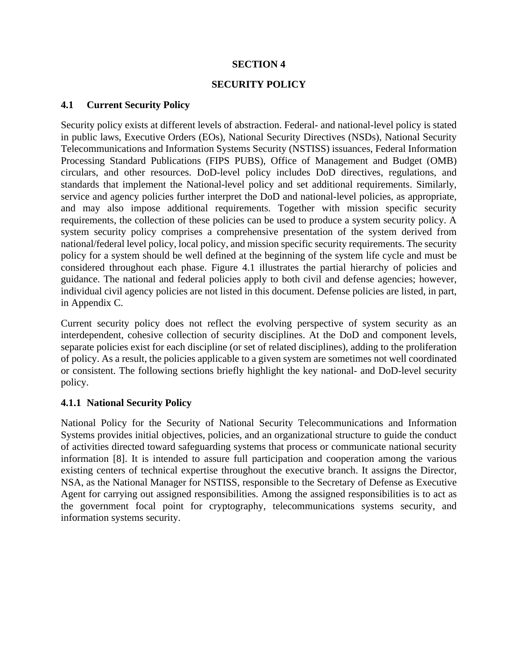# **SECTION 4**

# **SECURITY POLICY**

# **4.1 Current Security Policy**

Security policy exists at different levels of abstraction. Federal- and national-level policy is stated in public laws, Executive Orders (EOs), National Security Directives (NSDs), National Security Telecommunications and Information Systems Security (NSTISS) issuances, Federal Information Processing Standard Publications (FIPS PUBS), Office of Management and Budget (OMB) circulars, and other resources. DoD-level policy includes DoD directives, regulations, and standards that implement the National-level policy and set additional requirements. Similarly, service and agency policies further interpret the DoD and national-level policies, as appropriate, and may also impose additional requirements. Together with mission specific security requirements, the collection of these policies can be used to produce a system security policy. A system security policy comprises a comprehensive presentation of the system derived from national/federal level policy, local policy, and mission specific security requirements. The security policy for a system should be well defined at the beginning of the system life cycle and must be considered throughout each phase. Figure 4.1 illustrates the partial hierarchy of policies and guidance. The national and federal policies apply to both civil and defense agencies; however, individual civil agency policies are not listed in this document. Defense policies are listed, in part, in Appendix C.

Current security policy does not reflect the evolving perspective of system security as an interdependent, cohesive collection of security disciplines. At the DoD and component levels, separate policies exist for each discipline (or set of related disciplines), adding to the proliferation of policy. As a result, the policies applicable to a given system are sometimes not well coordinated or consistent. The following sections briefly highlight the key national- and DoD-level security policy.

# **4.1.1 National Security Policy**

National Policy for the Security of National Security Telecommunications and Information Systems provides initial objectives, policies, and an organizational structure to guide the conduct of activities directed toward safeguarding systems that process or communicate national security information [8]. It is intended to assure full participation and cooperation among the various existing centers of technical expertise throughout the executive branch. It assigns the Director, NSA, as the National Manager for NSTISS, responsible to the Secretary of Defense as Executive Agent for carrying out assigned responsibilities. Among the assigned responsibilities is to act as the government focal point for cryptography, telecommunications systems security, and information systems security.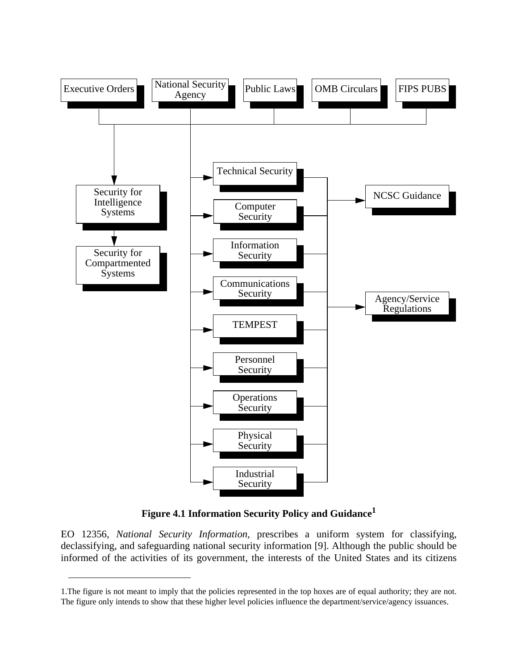

**Figure 4.1 Information Security Policy and Guidance<sup>1</sup>**

EO 12356, *National Security Information,* prescribes a uniform system for classifying, declassifying, and safeguarding national security information [9]. Although the public should be informed of the activities of its government, the interests of the United States and its citizens

<sup>1.</sup>The figure is not meant to imply that the policies represented in the top hoxes are of equal authority; they are not. The figure only intends to show that these higher level policies influence the department/service/agency issuances.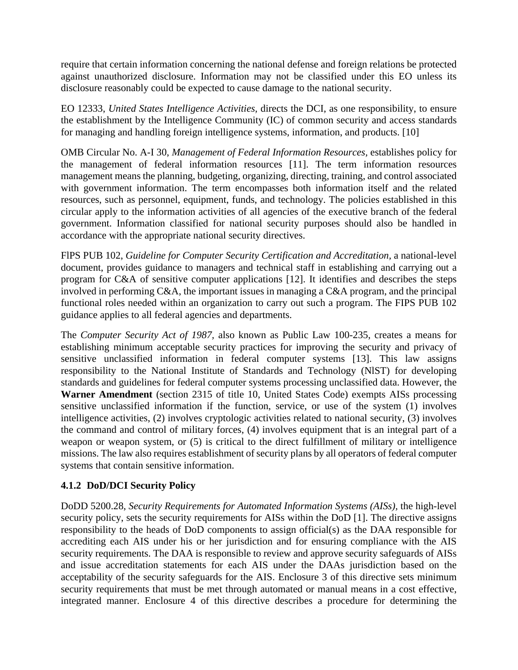require that certain information concerning the national defense and foreign relations be protected against unauthorized disclosure. Information may not be classified under this EO unless its disclosure reasonably could be expected to cause damage to the national security.

EO 12333, *United States Intelligence Activities,* directs the DCI, as one responsibility, to ensure the establishment by the Intelligence Community (IC) of common security and access standards for managing and handling foreign intelligence systems, information, and products. [10]

OMB Circular No. A-I 30, *Management of Federal Information Resources,* establishes policy for the management of federal information resources [11]. The term information resources management means the planning, budgeting, organizing, directing, training, and control associated with government information. The term encompasses both information itself and the related resources, such as personnel, equipment, funds, and technology. The policies established in this circular apply to the information activities of all agencies of the executive branch of the federal government. Information classified for national security purposes should also be handled in accordance with the appropriate national security directives.

FlPS PUB 102, *Guideline for Computer Security Certification and Accreditation,* a national-level document, provides guidance to managers and technical staff in establishing and carrying out a program for C&A of sensitive computer applications [12]. It identifies and describes the steps involved in performing C&A, the important issues in managing a C&A program, and the principal functional roles needed within an organization to carry out such a program. The FIPS PUB 102 guidance applies to all federal agencies and departments.

The *Computer Security Act of 1987,* also known as Public Law 100-235, creates a means for establishing minimum acceptable security practices for improving the security and privacy of sensitive unclassified information in federal computer systems [13]. This law assigns responsibility to the National Institute of Standards and Technology (NlST) for developing standards and guidelines for federal computer systems processing unclassified data. However, the **Warner Amendment** (section 2315 of title 10, United States Code) exempts AISs processing sensitive unclassified information if the function, service, or use of the system (1) involves intelligence activities, (2) involves cryptologic activities related to national security, (3) involves the command and control of military forces, (4) involves equipment that is an integral part of a weapon or weapon system, or (5) is critical to the direct fulfillment of military or intelligence missions. The law also requires establishment of security plans by all operators of federal computer systems that contain sensitive information.

# **4.1.2 DoD/DCI Security Policy**

DoDD 5200.28, *Security Requirements for Automated Information Systems (AISs),* the high-level security policy, sets the security requirements for AISs within the DoD [1]. The directive assigns responsibility to the heads of DoD components to assign official(s) as the DAA responsible for accrediting each AIS under his or her jurisdiction and for ensuring compliance with the AIS security requirements. The DAA is responsible to review and approve security safeguards of AISs and issue accreditation statements for each AIS under the DAAs jurisdiction based on the acceptability of the security safeguards for the AIS. Enclosure 3 of this directive sets minimum security requirements that must be met through automated or manual means in a cost effective, integrated manner. Enclosure 4 of this directive describes a procedure for determining the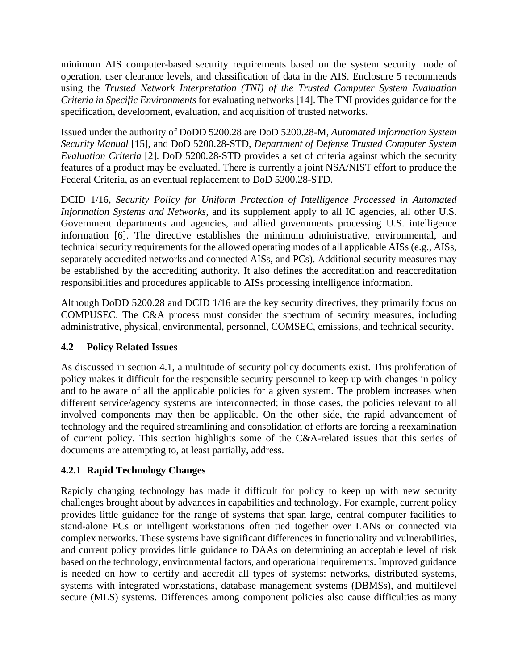minimum AIS computer-based security requirements based on the system security mode of operation, user clearance levels, and classification of data in the AIS. Enclosure 5 recommends using the *Trusted Network Interpretation (TNI) of the Trusted Computer System Evaluation Criteria in Specific Environments* for evaluating networks [14]. The TNI provides guidance for the specification, development, evaluation, and acquisition of trusted networks.

Issued under the authority of DoDD 5200.28 are DoD 5200.28-M, *Automated Information System Security Manual* [15], and DoD 5200.28-STD, *Department of Defense Trusted Computer System Evaluation Criteria* [2]. DoD 5200.28-STD provides a set of criteria against which the security features of a product may be evaluated. There is currently a joint NSA/NIST effort to produce the Federal Criteria, as an eventual replacement to DoD 5200.28-STD.

DCID 1/16, *Security Policy for Uniform Protection of Intelligence Processed in Automated Information Systems and Networks,* and its supplement apply to all IC agencies, all other U.S. Government departments and agencies, and allied governments processing U.S. intelligence information [6]. The directive establishes the minimum administrative, environmental, and technical security requirements for the allowed operating modes of all applicable AISs (e.g., AISs, separately accredited networks and connected AISs, and PCs). Additional security measures may be established by the accrediting authority. It also defines the accreditation and reaccreditation responsibilities and procedures applicable to AISs processing intelligence information.

Although DoDD 5200.28 and DCID 1/16 are the key security directives, they primarily focus on COMPUSEC. The C&A process must consider the spectrum of security measures, including administrative, physical, environmental, personnel, COMSEC, emissions, and technical security.

# **4.2 Policy Related Issues**

As discussed in section 4.1, a multitude of security policy documents exist. This proliferation of policy makes it difficult for the responsible security personnel to keep up with changes in policy and to be aware of all the applicable policies for a given system. The problem increases when different service/agency systems are interconnected; in those cases, the policies relevant to all involved components may then be applicable. On the other side, the rapid advancement of technology and the required streamlining and consolidation of efforts are forcing a reexamination of current policy. This section highlights some of the C&A-related issues that this series of documents are attempting to, at least partially, address.

# **4.2.1 Rapid Technology Changes**

Rapidly changing technology has made it difficult for policy to keep up with new security challenges brought about by advances in capabilities and technology. For example, current policy provides little guidance for the range of systems that span large, central computer facilities to stand-alone PCs or intelligent workstations often tied together over LANs or connected via complex networks. These systems have significant differences in functionality and vulnerabilities, and current policy provides little guidance to DAAs on determining an acceptable level of risk based on the technology, environmental factors, and operational requirements. Improved guidance is needed on how to certify and accredit all types of systems: networks, distributed systems, systems with integrated workstations, database management systems (DBMSs), and multilevel secure (MLS) systems. Differences among component policies also cause difficulties as many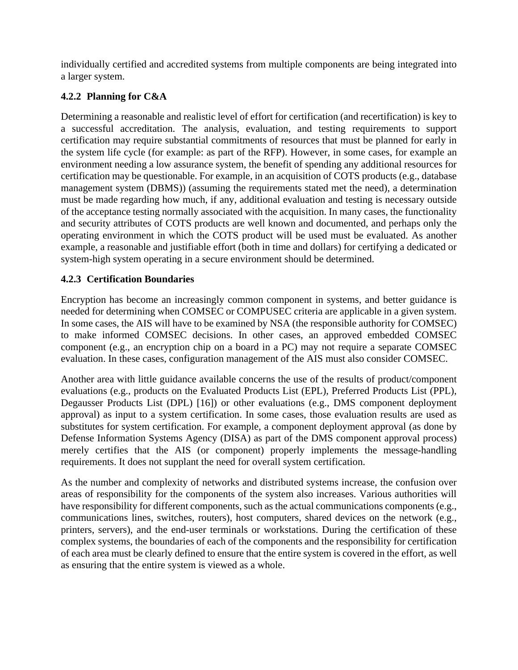individually certified and accredited systems from multiple components are being integrated into a larger system.

# **4.2.2 Planning for C&A**

Determining a reasonable and realistic level of effort for certification (and recertification) is key to a successful accreditation. The analysis, evaluation, and testing requirements to support certification may require substantial commitments of resources that must be planned for early in the system life cycle (for example: as part of the RFP). However, in some cases, for example an environment needing a low assurance system, the benefit of spending any additional resources for certification may be questionable. For example, in an acquisition of COTS products (e.g., database management system (DBMS)) (assuming the requirements stated met the need), a determination must be made regarding how much, if any, additional evaluation and testing is necessary outside of the acceptance testing normally associated with the acquisition. In many cases, the functionality and security attributes of COTS products are well known and documented, and perhaps only the operating environment in which the COTS product will be used must be evaluated. As another example, a reasonable and justifiable effort (both in time and dollars) for certifying a dedicated or system-high system operating in a secure environment should be determined.

# **4.2.3 Certification Boundaries**

Encryption has become an increasingly common component in systems, and better guidance is needed for determining when COMSEC or COMPUSEC criteria are applicable in a given system. In some cases, the AIS will have to be examined by NSA (the responsible authority for COMSEC) to make informed COMSEC decisions. In other cases, an approved embedded COMSEC component (e.g., an encryption chip on a board in a PC) may not require a separate COMSEC evaluation. In these cases, configuration management of the AIS must also consider COMSEC.

Another area with little guidance available concerns the use of the results of product/component evaluations (e.g., products on the Evaluated Products List (EPL), Preferred Products List (PPL), Degausser Products List (DPL) [16]) or other evaluations (e.g., DMS component deployment approval) as input to a system certification. In some cases, those evaluation results are used as substitutes for system certification. For example, a component deployment approval (as done by Defense Information Systems Agency (DISA) as part of the DMS component approval process) merely certifies that the AIS (or component) properly implements the message-handling requirements. It does not supplant the need for overall system certification.

As the number and complexity of networks and distributed systems increase, the confusion over areas of responsibility for the components of the system also increases. Various authorities will have responsibility for different components, such as the actual communications components (e.g., communications lines, switches, routers), host computers, shared devices on the network (e.g., printers, servers), and the end-user terminals or workstations. During the certification of these complex systems, the boundaries of each of the components and the responsibility for certification of each area must be clearly defined to ensure that the entire system is covered in the effort, as well as ensuring that the entire system is viewed as a whole.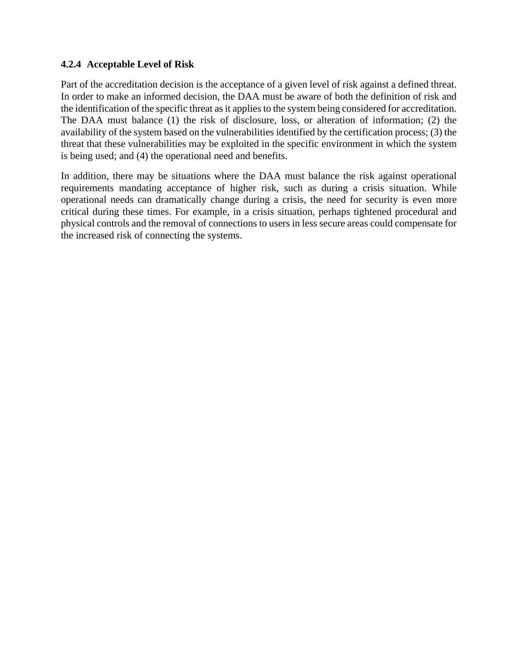# **4.2.4 Acceptable Level of Risk**

Part of the accreditation decision is the acceptance of a given level of risk against a defined threat. In order to make an informed decision, the DAA must be aware of both the definition of risk and the identification of the specific threat as it applies to the system being considered for accreditation. The DAA must balance (1) the risk of disclosure, loss, or alteration of information; (2) the availability of the system based on the vulnerabilities identified by the certification process; (3) the threat that these vulnerabilities may be exploited in the specific environment in which the system is being used; and (4) the operational need and benefits.

In addition, there may be situations where the DAA must balance the risk against operational requirements mandating acceptance of higher risk, such as during a crisis situation. While operational needs can dramatically change during a crisis, the need for security is even more critical during these times. For example, in a crisis situation, perhaps tightened procedural and physical controls and the removal of connections to users in less secure areas could compensate for the increased risk of connecting the systems.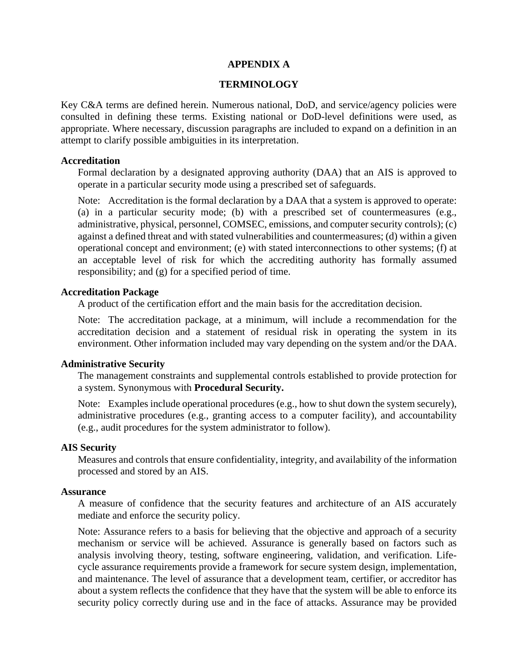### **APPENDIX A**

#### **TERMINOLOGY**

Key C&A terms are defined herein. Numerous national, DoD, and service/agency policies were consulted in defining these terms. Existing national or DoD-level definitions were used, as appropriate. Where necessary, discussion paragraphs are included to expand on a definition in an attempt to clarify possible ambiguities in its interpretation.

#### **Accreditation**

Formal declaration by a designated approving authority (DAA) that an AIS is approved to operate in a particular security mode using a prescribed set of safeguards.

Note: Accreditation is the formal declaration by a DAA that a system is approved to operate: (a) in a particular security mode; (b) with a prescribed set of countermeasures (e.g., administrative, physical, personnel, COMSEC, emissions, and computer security controls); (c) against a defined threat and with stated vulnerabilities and countermeasures; (d) within a given operational concept and environment; (e) with stated interconnections to other systems; (f) at an acceptable level of risk for which the accrediting authority has formally assumed responsibility; and (g) for a specified period of time.

### **Accreditation Package**

A product of the certification effort and the main basis for the accreditation decision.

Note: The accreditation package, at a minimum, will include a recommendation for the accreditation decision and a statement of residual risk in operating the system in its environment. Other information included may vary depending on the system and/or the DAA.

### **Administrative Security**

The management constraints and supplemental controls established to provide protection for a system. Synonymous with **Procedural Security.**

Note: Examples include operational procedures (e.g., how to shut down the system securely), administrative procedures (e.g., granting access to a computer facility), and accountability (e.g., audit procedures for the system administrator to follow).

#### **AIS Security**

Measures and controls that ensure confidentiality, integrity, and availability of the information processed and stored by an AIS.

#### **Assurance**

A measure of confidence that the security features and architecture of an AIS accurately mediate and enforce the security policy.

Note: Assurance refers to a basis for believing that the objective and approach of a security mechanism or service will be achieved. Assurance is generally based on factors such as analysis involving theory, testing, software engineering, validation, and verification. Lifecycle assurance requirements provide a framework for secure system design, implementation, and maintenance. The level of assurance that a development team, certifier, or accreditor has about a system reflects the confidence that they have that the system will be able to enforce its security policy correctly during use and in the face of attacks. Assurance may be provided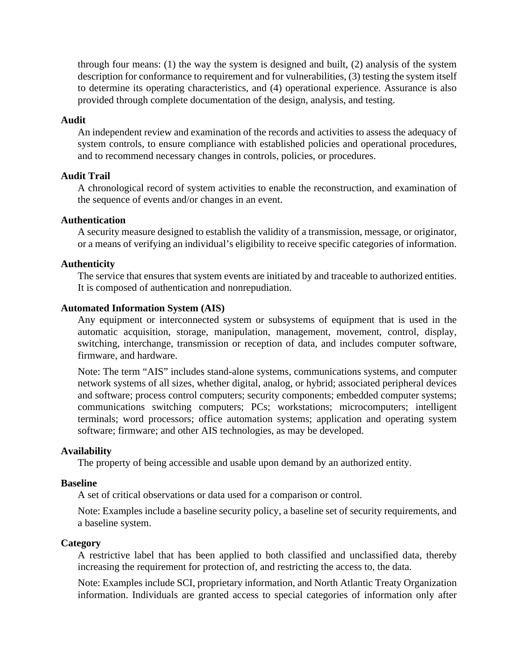through four means: (1) the way the system is designed and built, (2) analysis of the system description for conformance to requirement and for vulnerabilities, (3) testing the system itself to determine its operating characteristics, and (4) operational experience. Assurance is also provided through complete documentation of the design, analysis, and testing.

## **Audit**

An independent review and examination of the records and activities to assess the adequacy of system controls, to ensure compliance with established policies and operational procedures, and to recommend necessary changes in controls, policies, or procedures.

# **Audit Trail**

A chronological record of system activities to enable the reconstruction, and examination of the sequence of events and/or changes in an event.

# **Authentication**

A security measure designed to establish the validity of a transmission, message, or originator, or a means of verifying an individual's eligibility to receive specific categories of information.

## **Authenticity**

The service that ensures that system events are initiated by and traceable to authorized entities. It is composed of authentication and nonrepudiation.

## **Automated Information System (AIS)**

Any equipment or interconnected system or subsystems of equipment that is used in the automatic acquisition, storage, manipulation, management, movement, control, display, switching, interchange, transmission or reception of data, and includes computer software, firmware, and hardware.

Note: The term "AIS" includes stand-alone systems, communications systems, and computer network systems of all sizes, whether digital, analog, or hybrid; associated peripheral devices and software; process control computers; security components; embedded computer systems; communications switching computers; PCs; workstations; microcomputers; intelligent terminals; word processors; office automation systems; application and operating system software; firmware; and other AIS technologies, as may be developed.

### **Availability**

The property of being accessible and usable upon demand by an authorized entity.

### **Baseline**

A set of critical observations or data used for a comparison or control.

Note: Examples include a baseline security policy, a baseline set of security requirements, and a baseline system.

### **Category**

A restrictive label that has been applied to both classified and unclassified data, thereby increasing the requirement for protection of, and restricting the access to, the data.

Note: Examples include SCI, proprietary information, and North Atlantic Treaty Organization information. Individuals are granted access to special categories of information only after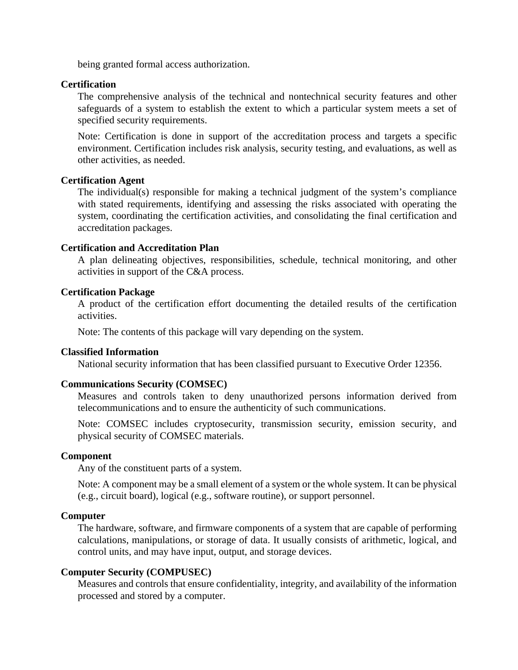being granted formal access authorization.

## **Certification**

The comprehensive analysis of the technical and nontechnical security features and other safeguards of a system to establish the extent to which a particular system meets a set of specified security requirements.

Note: Certification is done in support of the accreditation process and targets a specific environment. Certification includes risk analysis, security testing, and evaluations, as well as other activities, as needed.

### **Certification Agent**

The individual(s) responsible for making a technical judgment of the system's compliance with stated requirements, identifying and assessing the risks associated with operating the system, coordinating the certification activities, and consolidating the final certification and accreditation packages.

## **Certification and Accreditation Plan**

A plan delineating objectives, responsibilities, schedule, technical monitoring, and other activities in support of the C&A process.

## **Certification Package**

A product of the certification effort documenting the detailed results of the certification activities.

Note: The contents of this package will vary depending on the system.

### **Classified Information**

National security information that has been classified pursuant to Executive Order 12356.

### **Communications Security (COMSEC)**

Measures and controls taken to deny unauthorized persons information derived from telecommunications and to ensure the authenticity of such communications.

Note: COMSEC includes cryptosecurity, transmission security, emission security, and physical security of COMSEC materials.

### **Component**

Any of the constituent parts of a system.

Note: A component may be a small element of a system or the whole system. It can be physical (e.g., circuit board), logical (e.g., software routine), or support personnel.

### **Computer**

The hardware, software, and firmware components of a system that are capable of performing calculations, manipulations, or storage of data. It usually consists of arithmetic, logical, and control units, and may have input, output, and storage devices.

### **Computer Security (COMPUSEC)**

Measures and controls that ensure confidentiality, integrity, and availability of the information processed and stored by a computer.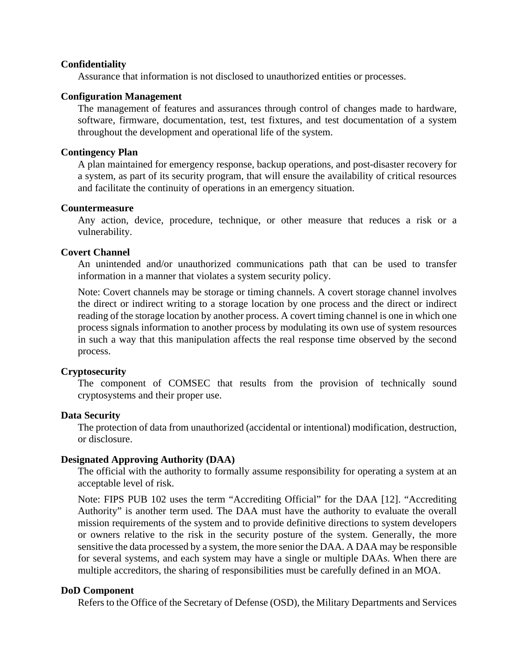### **Confidentiality**

Assurance that information is not disclosed to unauthorized entities or processes.

### **Configuration Management**

The management of features and assurances through control of changes made to hardware, software, firmware, documentation, test, test fixtures, and test documentation of a system throughout the development and operational life of the system.

#### **Contingency Plan**

A plan maintained for emergency response, backup operations, and post-disaster recovery for a system, as part of its security program, that will ensure the availability of critical resources and facilitate the continuity of operations in an emergency situation.

#### **Countermeasure**

Any action, device, procedure, technique, or other measure that reduces a risk or a vulnerability.

#### **Covert Channel**

An unintended and/or unauthorized communications path that can be used to transfer information in a manner that violates a system security policy.

Note: Covert channels may be storage or timing channels. A covert storage channel involves the direct or indirect writing to a storage location by one process and the direct or indirect reading of the storage location by another process. A covert timing channel is one in which one process signals information to another process by modulating its own use of system resources in such a way that this manipulation affects the real response time observed by the second process.

## **Cryptosecurity**

The component of COMSEC that results from the provision of technically sound cryptosystems and their proper use.

### **Data Security**

The protection of data from unauthorized (accidental or intentional) modification, destruction, or disclosure.

### **Designated Approving Authority (DAA)**

The official with the authority to formally assume responsibility for operating a system at an acceptable level of risk.

Note: FIPS PUB 102 uses the term "Accrediting Official" for the DAA [12]. "Accrediting Authority" is another term used. The DAA must have the authority to evaluate the overall mission requirements of the system and to provide definitive directions to system developers or owners relative to the risk in the security posture of the system. Generally, the more sensitive the data processed by a system, the more senior the DAA. A DAA may be responsible for several systems, and each system may have a single or multiple DAAs. When there are multiple accreditors, the sharing of responsibilities must be carefully defined in an MOA.

### **DoD Component**

Refers to the Office of the Secretary of Defense (OSD), the Military Departments and Services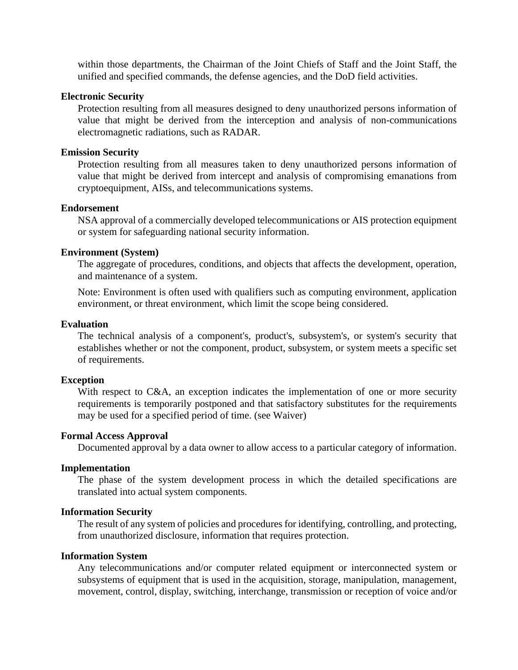within those departments, the Chairman of the Joint Chiefs of Staff and the Joint Staff, the unified and specified commands, the defense agencies, and the DoD field activities.

#### **Electronic Security**

Protection resulting from all measures designed to deny unauthorized persons information of value that might be derived from the interception and analysis of non-communications electromagnetic radiations, such as RADAR.

### **Emission Security**

Protection resulting from all measures taken to deny unauthorized persons information of value that might be derived from intercept and analysis of compromising emanations from cryptoequipment, AISs, and telecommunications systems.

### **Endorsement**

NSA approval of a commercially developed telecommunications or AIS protection equipment or system for safeguarding national security information.

#### **Environment (System)**

The aggregate of procedures, conditions, and objects that affects the development, operation, and maintenance of a system.

Note: Environment is often used with qualifiers such as computing environment, application environment, or threat environment, which limit the scope being considered.

#### **Evaluation**

The technical analysis of a component's, product's, subsystem's, or system's security that establishes whether or not the component, product, subsystem, or system meets a specific set of requirements.

#### **Exception**

With respect to C&A, an exception indicates the implementation of one or more security requirements is temporarily postponed and that satisfactory substitutes for the requirements may be used for a specified period of time. (see Waiver)

#### **Formal Access Approval**

Documented approval by a data owner to allow access to a particular category of information.

#### **Implementation**

The phase of the system development process in which the detailed specifications are translated into actual system components.

#### **Information Security**

The result of any system of policies and procedures for identifying, controlling, and protecting, from unauthorized disclosure, information that requires protection.

## **Information System**

Any telecommunications and/or computer related equipment or interconnected system or subsystems of equipment that is used in the acquisition, storage, manipulation, management, movement, control, display, switching, interchange, transmission or reception of voice and/or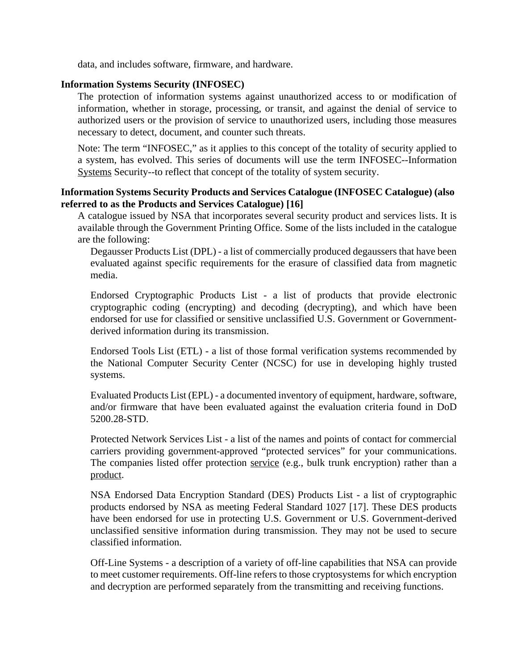data, and includes software, firmware, and hardware.

# **Information Systems Security (INFOSEC)**

The protection of information systems against unauthorized access to or modification of information, whether in storage, processing, or transit, and against the denial of service to authorized users or the provision of service to unauthorized users, including those measures necessary to detect, document, and counter such threats.

Note: The term "INFOSEC," as it applies to this concept of the totality of security applied to a system, has evolved. This series of documents will use the term INFOSEC--Information Systems Security--to reflect that concept of the totality of system security.

# **Information Systems Security Products and Services Catalogue (INFOSEC Catalogue) (also referred to as the Products and Services Catalogue) [16]**

A catalogue issued by NSA that incorporates several security product and services lists. It is available through the Government Printing Office. Some of the lists included in the catalogue are the following:

Degausser Products List (DPL) - a list of commercially produced degaussers that have been evaluated against specific requirements for the erasure of classified data from magnetic media.

Endorsed Cryptographic Products List - a list of products that provide electronic cryptographic coding (encrypting) and decoding (decrypting), and which have been endorsed for use for classified or sensitive unclassified U.S. Government or Governmentderived information during its transmission.

Endorsed Tools List (ETL) - a list of those formal verification systems recommended by the National Computer Security Center (NCSC) for use in developing highly trusted systems.

Evaluated Products List (EPL) - a documented inventory of equipment, hardware, software, and/or firmware that have been evaluated against the evaluation criteria found in DoD 5200.28-STD.

Protected Network Services List - a list of the names and points of contact for commercial carriers providing government-approved "protected services" for your communications. The companies listed offer protection service (e.g., bulk trunk encryption) rather than a product.

NSA Endorsed Data Encryption Standard (DES) Products List - a list of cryptographic products endorsed by NSA as meeting Federal Standard 1027 [17]. These DES products have been endorsed for use in protecting U.S. Government or U.S. Government-derived unclassified sensitive information during transmission. They may not be used to secure classified information.

Off-Line Systems - a description of a variety of off-line capabilities that NSA can provide to meet customer requirements. Off-line refers to those cryptosystems for which encryption and decryption are performed separately from the transmitting and receiving functions.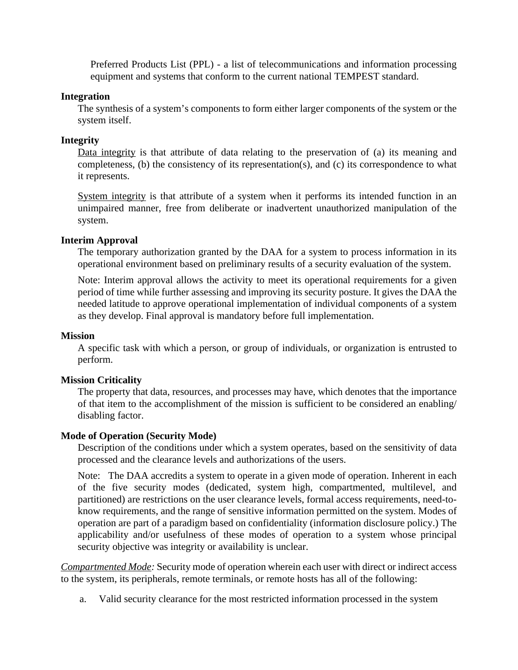Preferred Products List (PPL) - a list of telecommunications and information processing equipment and systems that conform to the current national TEMPEST standard.

## **Integration**

The synthesis of a system's components to form either larger components of the system or the system itself.

## **Integrity**

Data integrity is that attribute of data relating to the preservation of (a) its meaning and completeness, (b) the consistency of its representation(s), and (c) its correspondence to what it represents.

System integrity is that attribute of a system when it performs its intended function in an unimpaired manner, free from deliberate or inadvertent unauthorized manipulation of the system.

## **Interim Approval**

The temporary authorization granted by the DAA for a system to process information in its operational environment based on preliminary results of a security evaluation of the system.

Note: Interim approval allows the activity to meet its operational requirements for a given period of time while further assessing and improving its security posture. It gives the DAA the needed latitude to approve operational implementation of individual components of a system as they develop. Final approval is mandatory before full implementation.

### **Mission**

A specific task with which a person, or group of individuals, or organization is entrusted to perform.

# **Mission Criticality**

The property that data, resources, and processes may have, which denotes that the importance of that item to the accomplishment of the mission is sufficient to be considered an enabling/ disabling factor.

### **Mode of Operation (Security Mode)**

Description of the conditions under which a system operates, based on the sensitivity of data processed and the clearance levels and authorizations of the users.

Note: The DAA accredits a system to operate in a given mode of operation. Inherent in each of the five security modes (dedicated, system high, compartmented, multilevel, and partitioned) are restrictions on the user clearance levels, formal access requirements, need-toknow requirements, and the range of sensitive information permitted on the system. Modes of operation are part of a paradigm based on confidentiality (information disclosure policy.) The applicability and/or usefulness of these modes of operation to a system whose principal security objective was integrity or availability is unclear.

*Compartmented Mode:* Security mode of operation wherein each user with direct or indirect access to the system, its peripherals, remote terminals, or remote hosts has all of the following:

a. Valid security clearance for the most restricted information processed in the system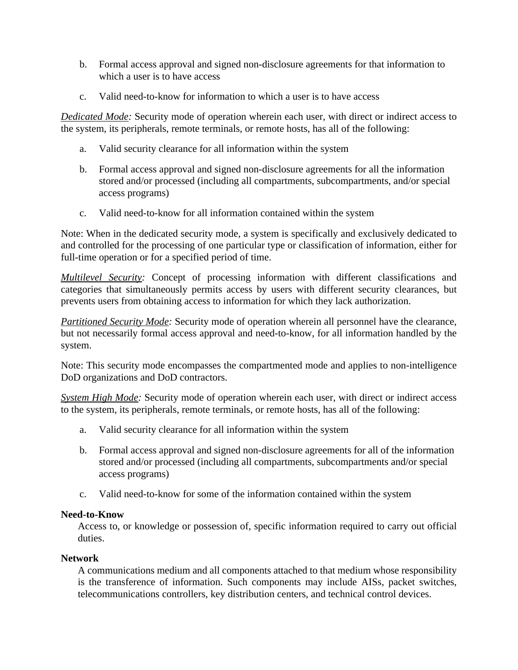- b. Formal access approval and signed non-disclosure agreements for that information to which a user is to have access
- c. Valid need-to-know for information to which a user is to have access

*Dedicated Mode:* Security mode of operation wherein each user, with direct or indirect access to the system, its peripherals, remote terminals, or remote hosts, has all of the following:

- a. Valid security clearance for all information within the system
- b. Formal access approval and signed non-disclosure agreements for all the information stored and/or processed (including all compartments, subcompartments, and/or special access programs)
- c. Valid need-to-know for all information contained within the system

Note: When in the dedicated security mode, a system is specifically and exclusively dedicated to and controlled for the processing of one particular type or classification of information, either for full-time operation or for a specified period of time.

*Multilevel Security:* Concept of processing information with different classifications and categories that simultaneously permits access by users with different security clearances, but prevents users from obtaining access to information for which they lack authorization.

*Partitioned Security Mode:* Security mode of operation wherein all personnel have the clearance, but not necessarily formal access approval and need-to-know, for all information handled by the system.

Note: This security mode encompasses the compartmented mode and applies to non-intelligence DoD organizations and DoD contractors.

*System High Mode:* Security mode of operation wherein each user, with direct or indirect access to the system, its peripherals, remote terminals, or remote hosts, has all of the following:

- a. Valid security clearance for all information within the system
- b. Formal access approval and signed non-disclosure agreements for all of the information stored and/or processed (including all compartments, subcompartments and/or special access programs)
- c. Valid need-to-know for some of the information contained within the system

# **Need-to-Know**

Access to, or knowledge or possession of, specific information required to carry out official duties.

# **Network**

A communications medium and all components attached to that medium whose responsibility is the transference of information. Such components may include AISs, packet switches, telecommunications controllers, key distribution centers, and technical control devices.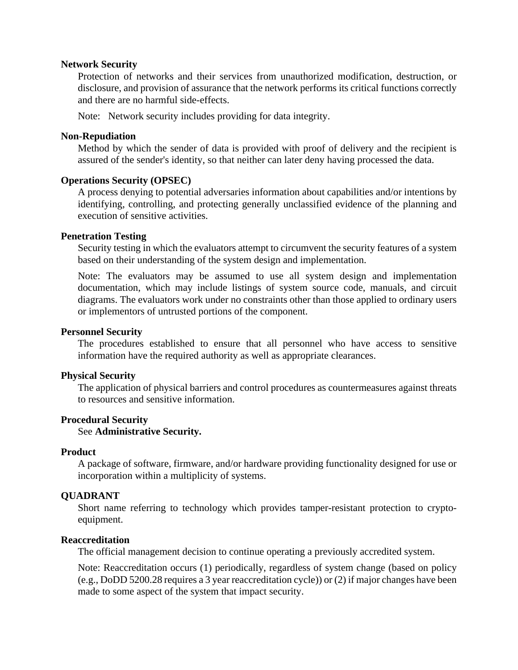### **Network Security**

Protection of networks and their services from unauthorized modification, destruction, or disclosure, and provision of assurance that the network performs its critical functions correctly and there are no harmful side-effects.

Note: Network security includes providing for data integrity.

#### **Non-Repudiation**

Method by which the sender of data is provided with proof of delivery and the recipient is assured of the sender's identity, so that neither can later deny having processed the data.

# **Operations Security (OPSEC)**

A process denying to potential adversaries information about capabilities and/or intentions by identifying, controlling, and protecting generally unclassified evidence of the planning and execution of sensitive activities.

## **Penetration Testing**

Security testing in which the evaluators attempt to circumvent the security features of a system based on their understanding of the system design and implementation.

Note: The evaluators may be assumed to use all system design and implementation documentation, which may include listings of system source code, manuals, and circuit diagrams. The evaluators work under no constraints other than those applied to ordinary users or implementors of untrusted portions of the component.

#### **Personnel Security**

The procedures established to ensure that all personnel who have access to sensitive information have the required authority as well as appropriate clearances.

#### **Physical Security**

The application of physical barriers and control procedures as countermeasures against threats to resources and sensitive information.

#### **Procedural Security**

See **Administrative Security.**

#### **Product**

A package of software, firmware, and/or hardware providing functionality designed for use or incorporation within a multiplicity of systems.

#### **QUADRANT**

Short name referring to technology which provides tamper-resistant protection to cryptoequipment.

## **Reaccreditation**

The official management decision to continue operating a previously accredited system.

Note: Reaccreditation occurs (1) periodically, regardless of system change (based on policy (e.g., DoDD 5200.28 requires a 3 year reaccreditation cycle)) or (2) if major changes have been made to some aspect of the system that impact security.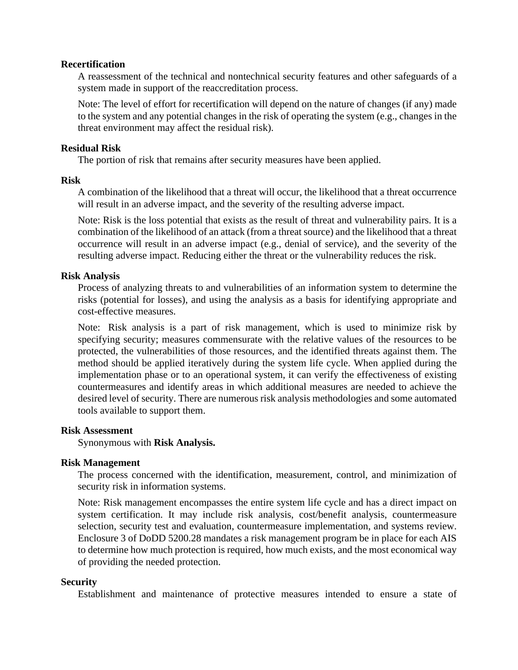# **Recertification**

A reassessment of the technical and nontechnical security features and other safeguards of a system made in support of the reaccreditation process.

Note: The level of effort for recertification will depend on the nature of changes (if any) made to the system and any potential changes in the risk of operating the system (e.g., changes in the threat environment may affect the residual risk).

## **Residual Risk**

The portion of risk that remains after security measures have been applied.

## **Risk**

A combination of the likelihood that a threat will occur, the likelihood that a threat occurrence will result in an adverse impact, and the severity of the resulting adverse impact.

Note: Risk is the loss potential that exists as the result of threat and vulnerability pairs. It is a combination of the likelihood of an attack (from a threat source) and the likelihood that a threat occurrence will result in an adverse impact (e.g., denial of service), and the severity of the resulting adverse impact. Reducing either the threat or the vulnerability reduces the risk.

# **Risk Analysis**

Process of analyzing threats to and vulnerabilities of an information system to determine the risks (potential for losses), and using the analysis as a basis for identifying appropriate and cost-effective measures.

Note: Risk analysis is a part of risk management, which is used to minimize risk by specifying security; measures commensurate with the relative values of the resources to be protected, the vulnerabilities of those resources, and the identified threats against them. The method should be applied iteratively during the system life cycle. When applied during the implementation phase or to an operational system, it can verify the effectiveness of existing countermeasures and identify areas in which additional measures are needed to achieve the desired level of security. There are numerous risk analysis methodologies and some automated tools available to support them.

# **Risk Assessment**

Synonymous with **Risk Analysis.**

# **Risk Management**

The process concerned with the identification, measurement, control, and minimization of security risk in information systems.

Note: Risk management encompasses the entire system life cycle and has a direct impact on system certification. It may include risk analysis, cost/benefit analysis, countermeasure selection, security test and evaluation, countermeasure implementation, and systems review. Enclosure 3 of DoDD 5200.28 mandates a risk management program be in place for each AIS to determine how much protection is required, how much exists, and the most economical way of providing the needed protection.

### **Security**

Establishment and maintenance of protective measures intended to ensure a state of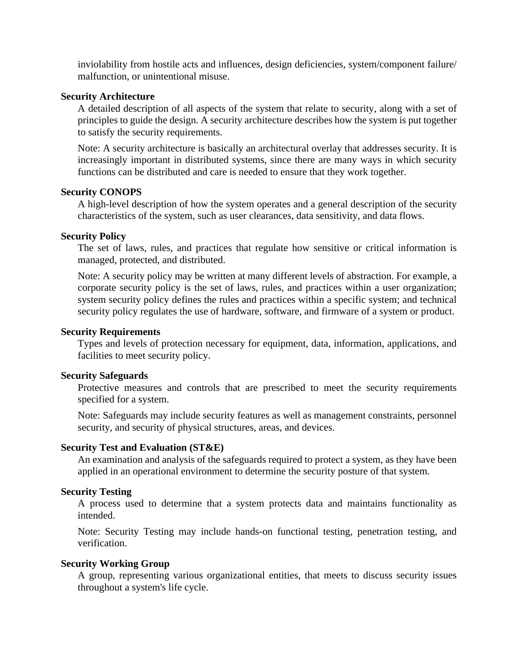inviolability from hostile acts and influences, design deficiencies, system/component failure/ malfunction, or unintentional misuse.

## **Security Architecture**

A detailed description of all aspects of the system that relate to security, along with a set of principles to guide the design. A security architecture describes how the system is put together to satisfy the security requirements.

Note: A security architecture is basically an architectural overlay that addresses security. It is increasingly important in distributed systems, since there are many ways in which security functions can be distributed and care is needed to ensure that they work together.

## **Security CONOPS**

A high-level description of how the system operates and a general description of the security characteristics of the system, such as user clearances, data sensitivity, and data flows.

# **Security Policy**

The set of laws, rules, and practices that regulate how sensitive or critical information is managed, protected, and distributed.

Note: A security policy may be written at many different levels of abstraction. For example, a corporate security policy is the set of laws, rules, and practices within a user organization; system security policy defines the rules and practices within a specific system; and technical security policy regulates the use of hardware, software, and firmware of a system or product.

# **Security Requirements**

Types and levels of protection necessary for equipment, data, information, applications, and facilities to meet security policy.

# **Security Safeguards**

Protective measures and controls that are prescribed to meet the security requirements specified for a system.

Note: Safeguards may include security features as well as management constraints, personnel security, and security of physical structures, areas, and devices.

# **Security Test and Evaluation (ST&E)**

An examination and analysis of the safeguards required to protect a system, as they have been applied in an operational environment to determine the security posture of that system.

# **Security Testing**

A process used to determine that a system protects data and maintains functionality as intended.

Note: Security Testing may include hands-on functional testing, penetration testing, and verification.

# **Security Working Group**

A group, representing various organizational entities, that meets to discuss security issues throughout a system's life cycle.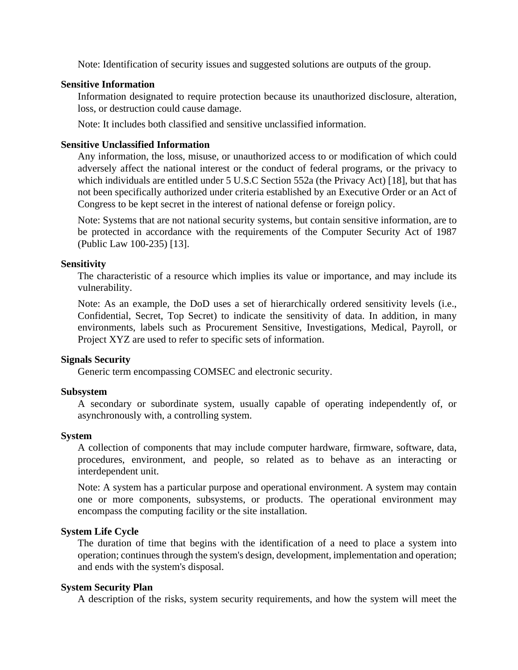Note: Identification of security issues and suggested solutions are outputs of the group.

## **Sensitive Information**

Information designated to require protection because its unauthorized disclosure, alteration, loss, or destruction could cause damage.

Note: It includes both classified and sensitive unclassified information.

# **Sensitive Unclassified Information**

Any information, the loss, misuse, or unauthorized access to or modification of which could adversely affect the national interest or the conduct of federal programs, or the privacy to which individuals are entitled under 5 U.S.C Section 552a (the Privacy Act) [18], but that has not been specifically authorized under criteria established by an Executive Order or an Act of Congress to be kept secret in the interest of national defense or foreign policy.

Note: Systems that are not national security systems, but contain sensitive information, are to be protected in accordance with the requirements of the Computer Security Act of 1987 (Public Law 100-235) [13].

## **Sensitivity**

The characteristic of a resource which implies its value or importance, and may include its vulnerability.

Note: As an example, the DoD uses a set of hierarchically ordered sensitivity levels (i.e., Confidential, Secret, Top Secret) to indicate the sensitivity of data. In addition, in many environments, labels such as Procurement Sensitive, Investigations, Medical, Payroll, or Project XYZ are used to refer to specific sets of information.

### **Signals Security**

Generic term encompassing COMSEC and electronic security.

### **Subsystem**

A secondary or subordinate system, usually capable of operating independently of, or asynchronously with, a controlling system.

### **System**

A collection of components that may include computer hardware, firmware, software, data, procedures, environment, and people, so related as to behave as an interacting or interdependent unit.

Note: A system has a particular purpose and operational environment. A system may contain one or more components, subsystems, or products. The operational environment may encompass the computing facility or the site installation.

# **System Life Cycle**

The duration of time that begins with the identification of a need to place a system into operation; continues through the system's design, development, implementation and operation; and ends with the system's disposal.

### **System Security Plan**

A description of the risks, system security requirements, and how the system will meet the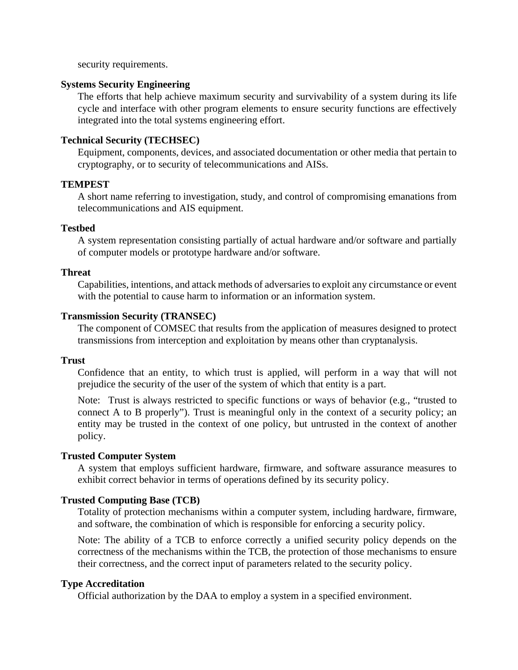security requirements.

## **Systems Security Engineering**

The efforts that help achieve maximum security and survivability of a system during its life cycle and interface with other program elements to ensure security functions are effectively integrated into the total systems engineering effort.

# **Technical Security (TECHSEC)**

Equipment, components, devices, and associated documentation or other media that pertain to cryptography, or to security of telecommunications and AISs.

## **TEMPEST**

A short name referring to investigation, study, and control of compromising emanations from telecommunications and AIS equipment.

## **Testbed**

A system representation consisting partially of actual hardware and/or software and partially of computer models or prototype hardware and/or software.

## **Threat**

Capabilities, intentions, and attack methods of adversaries to exploit any circumstance or event with the potential to cause harm to information or an information system.

# **Transmission Security (TRANSEC)**

The component of COMSEC that results from the application of measures designed to protect transmissions from interception and exploitation by means other than cryptanalysis.

## **Trust**

Confidence that an entity, to which trust is applied, will perform in a way that will not prejudice the security of the user of the system of which that entity is a part.

Note: Trust is always restricted to specific functions or ways of behavior (e.g., "trusted to connect A to B properly"). Trust is meaningful only in the context of a security policy; an entity may be trusted in the context of one policy, but untrusted in the context of another policy.

# **Trusted Computer System**

A system that employs sufficient hardware, firmware, and software assurance measures to exhibit correct behavior in terms of operations defined by its security policy.

# **Trusted Computing Base (TCB)**

Totality of protection mechanisms within a computer system, including hardware, firmware, and software, the combination of which is responsible for enforcing a security policy.

Note: The ability of a TCB to enforce correctly a unified security policy depends on the correctness of the mechanisms within the TCB, the protection of those mechanisms to ensure their correctness, and the correct input of parameters related to the security policy.

# **Type Accreditation**

Official authorization by the DAA to employ a system in a specified environment.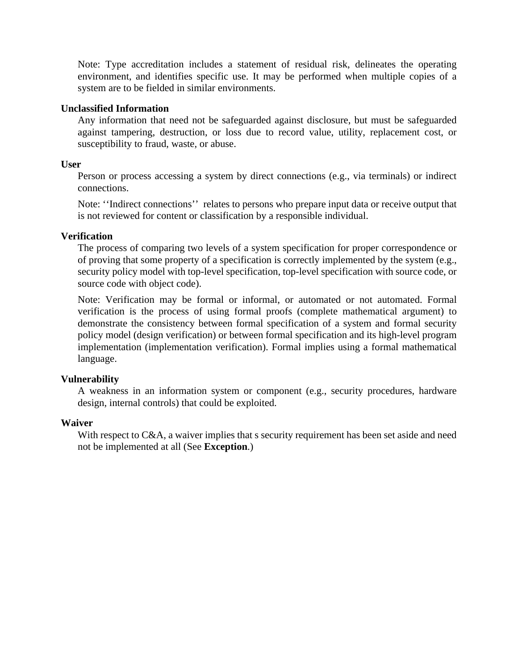Note: Type accreditation includes a statement of residual risk, delineates the operating environment, and identifies specific use. It may be performed when multiple copies of a system are to be fielded in similar environments.

## **Unclassified Information**

Any information that need not be safeguarded against disclosure, but must be safeguarded against tampering, destruction, or loss due to record value, utility, replacement cost, or susceptibility to fraud, waste, or abuse.

## **User**

Person or process accessing a system by direct connections (e.g., via terminals) or indirect connections.

Note: ''Indirect connections'' relates to persons who prepare input data or receive output that is not reviewed for content or classification by a responsible individual.

## **Verification**

The process of comparing two levels of a system specification for proper correspondence or of proving that some property of a specification is correctly implemented by the system (e.g., security policy model with top-level specification, top-level specification with source code, or source code with object code).

Note: Verification may be formal or informal, or automated or not automated. Formal verification is the process of using formal proofs (complete mathematical argument) to demonstrate the consistency between formal specification of a system and formal security policy model (design verification) or between formal specification and its high-level program implementation (implementation verification). Formal implies using a formal mathematical language.

# **Vulnerability**

A weakness in an information system or component (e.g., security procedures, hardware design, internal controls) that could be exploited.

### **Waiver**

With respect to C&A, a waiver implies that s security requirement has been set aside and need not be implemented at all (See **Exception**.)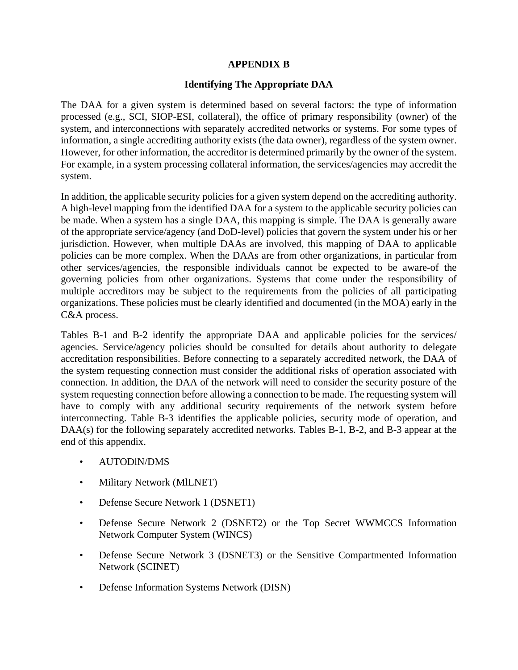# **APPENDIX B**

# **Identifying The Appropriate DAA**

The DAA for a given system is determined based on several factors: the type of information processed (e.g., SCI, SIOP-ESI, collateral), the office of primary responsibility (owner) of the system, and interconnections with separately accredited networks or systems. For some types of information, a single accrediting authority exists (the data owner), regardless of the system owner. However, for other information, the accreditor is determined primarily by the owner of the system. For example, in a system processing collateral information, the services/agencies may accredit the system.

In addition, the applicable security policies for a given system depend on the accrediting authority. A high-level mapping from the identified DAA for a system to the applicable security policies can be made. When a system has a single DAA, this mapping is simple. The DAA is generally aware of the appropriate service/agency (and DoD-level) policies that govern the system under his or her jurisdiction. However, when multiple DAAs are involved, this mapping of DAA to applicable policies can be more complex. When the DAAs are from other organizations, in particular from other services/agencies, the responsible individuals cannot be expected to be aware-of the governing policies from other organizations. Systems that come under the responsibility of multiple accreditors may be subject to the requirements from the policies of all participating organizations. These policies must be clearly identified and documented (in the MOA) early in the C&A process.

Tables B-1 and B-2 identify the appropriate DAA and applicable policies for the services/ agencies. Service/agency policies should be consulted for details about authority to delegate accreditation responsibilities. Before connecting to a separately accredited network, the DAA of the system requesting connection must consider the additional risks of operation associated with connection. In addition, the DAA of the network will need to consider the security posture of the system requesting connection before allowing a connection to be made. The requesting system will have to comply with any additional security requirements of the network system before interconnecting. Table B-3 identifies the applicable policies, security mode of operation, and DAA(s) for the following separately accredited networks. Tables B-1, B-2, and B-3 appear at the end of this appendix.

- AUTODlN/DMS
- Military Network (MILNET)
- Defense Secure Network 1 (DSNET1)
- Defense Secure Network 2 (DSNET2) or the Top Secret WWMCCS Information Network Computer System (WINCS)
- Defense Secure Network 3 (DSNET3) or the Sensitive Compartmented Information Network (SCINET)
- Defense Information Systems Network (DISN)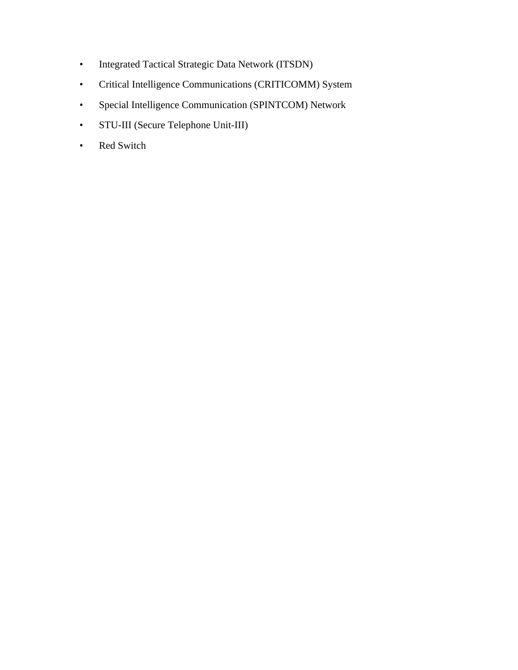- Integrated Tactical Strategic Data Network (ITSDN)
- Critical Intelligence Communications (CRITICOMM) System
- Special Intelligence Communication (SPINTCOM) Network
- STU-III (Secure Telephone Unit-III)
- Red Switch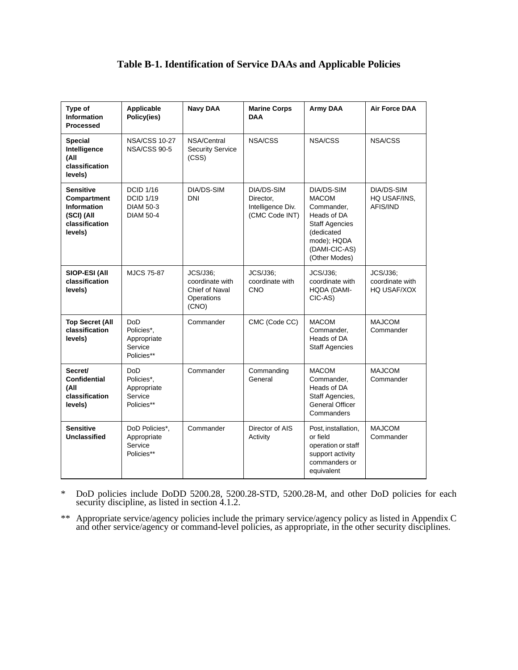# **Table B-1. Identification of Service DAAs and Applicable Policies**

| Type of<br><b>Information</b><br><b>Processed</b>                                                | Applicable<br>Policy(ies)                                                    | <b>Navy DAA</b>                                                             | <b>Marine Corps</b><br><b>DAA</b>                              | <b>Army DAA</b>                                                                                                                                 | <b>Air Force DAA</b>                              |
|--------------------------------------------------------------------------------------------------|------------------------------------------------------------------------------|-----------------------------------------------------------------------------|----------------------------------------------------------------|-------------------------------------------------------------------------------------------------------------------------------------------------|---------------------------------------------------|
| <b>Special</b><br>Intelligence<br>(All<br>classification<br>levels)                              | <b>NSA/CSS 10-27</b><br>NSA/CSS 90-5                                         | NSA/Central<br><b>Security Service</b><br>(CSS)                             | NSA/CSS                                                        | NSA/CSS                                                                                                                                         | NSA/CSS                                           |
| <b>Sensitive</b><br>Compartment<br><b>Information</b><br>(SCI) (All<br>classification<br>levels) | <b>DCID 1/16</b><br><b>DCID 1/19</b><br><b>DIAM 50-3</b><br><b>DIAM 50-4</b> | DIA/DS-SIM<br><b>DNI</b>                                                    | DIA/DS-SIM<br>Director.<br>Intelligence Div.<br>(CMC Code INT) | DIA/DS-SIM<br><b>MACOM</b><br>Commander,<br>Heads of DA<br><b>Staff Agencies</b><br>(dedicated<br>mode); HQDA<br>(DAMI-CIC-AS)<br>(Other Modes) | DIA/DS-SIM<br>HQ USAF/INS,<br>AFIS/IND            |
| SIOP-ESI (All<br>classification<br>levels)                                                       | <b>MJCS 75-87</b>                                                            | <b>JCS/J36:</b><br>coordinate with<br>Chief of Naval<br>Operations<br>(CNO) | JCS/J36:<br>coordinate with<br><b>CNO</b>                      | <b>JCS/J36:</b><br>coordinate with<br>HQDA (DAMI-<br>CIC-AS)                                                                                    | <b>JCS/J36:</b><br>coordinate with<br>HQ USAF/XOX |
| <b>Top Secret (All</b><br>classification<br>levels)                                              | DoD<br>Policies*,<br>Appropriate<br>Service<br>Policies**                    | Commander                                                                   | CMC (Code CC)                                                  | <b>MACOM</b><br>Commander,<br>Heads of DA<br><b>Staff Agencies</b>                                                                              | <b>MAJCOM</b><br>Commander                        |
| Secret/<br><b>Confidential</b><br>(All<br>classification<br>levels)                              | DoD<br>Policies*,<br>Appropriate<br>Service<br>Policies**                    | Commander                                                                   | Commanding<br>General                                          | <b>MACOM</b><br>Commander,<br>Heads of DA<br>Staff Agencies,<br>General Officer<br>Commanders                                                   | <b>MAJCOM</b><br>Commander                        |
| <b>Sensitive</b><br>Unclassified                                                                 | DoD Policies*,<br>Appropriate<br>Service<br>Policies**                       | Commander                                                                   | Director of AIS<br>Activity                                    | Post, installation,<br>or field<br>operation or staff<br>support activity<br>commanders or<br>equivalent                                        | <b>MAJCOM</b><br>Commander                        |

\* DoD policies include DoDD 5200.28, 5200.28-STD, 5200.28-M, and other DoD policies for each security discipline, as listed in section 4.1.2.

\*\* Appropriate service/agency policies include the primary service/agency policy as listed in Appendix C and other service/agency or command-level policies, as appropriate, in the other security disciplines.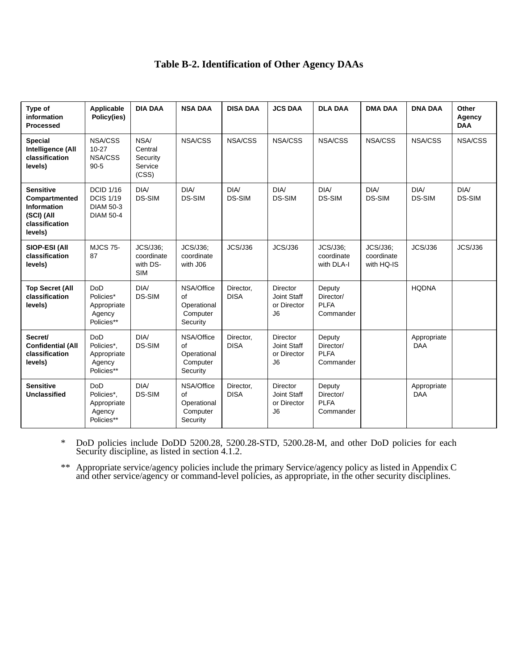# **Table B-2. Identification of Other Agency DAAs**

| Type of<br>information<br><b>Processed</b>                                                         | Applicable<br>Policy(ies)                                                    | <b>DIA DAA</b>                                          | <b>NSA DAA</b>                                          | <b>DISA DAA</b>          | <b>JCS DAA</b>                                                  | <b>DLA DAA</b>                                  | <b>DMA DAA</b>                       | <b>DNA DAA</b>            | Other<br>Agency<br><b>DAA</b> |
|----------------------------------------------------------------------------------------------------|------------------------------------------------------------------------------|---------------------------------------------------------|---------------------------------------------------------|--------------------------|-----------------------------------------------------------------|-------------------------------------------------|--------------------------------------|---------------------------|-------------------------------|
| <b>Special</b><br>Intelligence (All<br>classification<br>levels)                                   | NSA/CSS<br>$10 - 27$<br>NSA/CSS<br>$90 - 5$                                  | NSA/<br>Central<br>Security<br>Service<br>(CSS)         | NSA/CSS                                                 | NSA/CSS                  | NSA/CSS                                                         | NSA/CSS                                         | NSA/CSS                              | NSA/CSS                   | NSA/CSS                       |
| <b>Sensitive</b><br>Compartmented<br><b>Information</b><br>(SCI) (All<br>classification<br>levels) | <b>DCID 1/16</b><br><b>DCIS 1/19</b><br><b>DIAM 50-3</b><br><b>DIAM 50-4</b> | DIA/<br><b>DS-SIM</b>                                   | DIA/<br><b>DS-SIM</b>                                   | DIA/<br><b>DS-SIM</b>    | DIA/<br><b>DS-SIM</b>                                           | DIA/<br><b>DS-SIM</b>                           | DIA/<br><b>DS-SIM</b>                | DIA/<br><b>DS-SIM</b>     | DIA/<br><b>DS-SIM</b>         |
| SIOP-ESI (All<br>classification<br>levels)                                                         | <b>MJCS 75-</b><br>87                                                        | <b>JCS/J36:</b><br>coordinate<br>with DS-<br><b>SIM</b> | <b>JCS/J36:</b><br>coordinate<br>with J06               | JCS/J36                  | JCS/J36                                                         | JCS/J36;<br>coordinate<br>with DLA-I            | JCS/J36;<br>coordinate<br>with HQ-IS | JCS/J36                   | JCS/J36                       |
| <b>Top Secret (All</b><br>classification<br>levels)                                                | <b>DoD</b><br>Policies*<br>Appropriate<br>Agency<br>Policies**               | DIA/<br><b>DS-SIM</b>                                   | NSA/Office<br>of<br>Operational<br>Computer<br>Security | Director,<br><b>DISA</b> | <b>Director</b><br>Joint Staff<br>or Director<br>J6             | Deputy<br>Director/<br><b>PLFA</b><br>Commander |                                      | <b>HQDNA</b>              |                               |
| Secret/<br><b>Confidential (All</b><br>classification<br>levels)                                   | <b>DoD</b><br>Policies*,<br>Appropriate<br>Agency<br>Policies**              | DIA/<br><b>DS-SIM</b>                                   | NSA/Office<br>of<br>Operational<br>Computer<br>Security | Director.<br><b>DISA</b> | <b>Director</b><br>Joint Staff<br>or Director<br>J <sub>6</sub> | Deputy<br>Director/<br><b>PLFA</b><br>Commander |                                      | Appropriate<br><b>DAA</b> |                               |
| <b>Sensitive</b><br>Unclassified                                                                   | <b>DoD</b><br>Policies*.<br>Appropriate<br>Agency<br>Policies**              | DIA/<br><b>DS-SIM</b>                                   | NSA/Office<br>of<br>Operational<br>Computer<br>Security | Director,<br><b>DISA</b> | <b>Director</b><br>Joint Staff<br>or Director<br>J <sub>6</sub> | Deputy<br>Director/<br><b>PLFA</b><br>Commander |                                      | Appropriate<br><b>DAA</b> |                               |

\* DoD policies include DoDD 5200.28, 5200.28-STD, 5200.28-M, and other DoD policies for each Security discipline, as listed in section 4.1.2.

\*\* Appropriate service/agency policies include the primary Service/agency policy as listed in Appendix C and other service/agency or command-level policies, as appropriate, in the other security disciplines.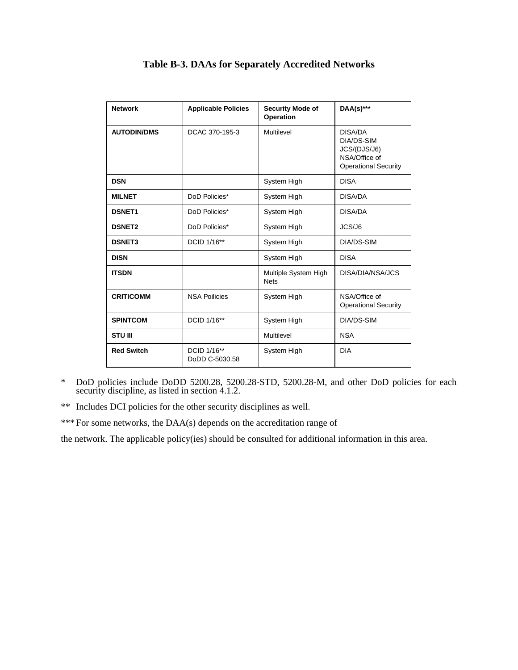| <b>Network</b>     | <b>Applicable Policies</b>    | Security Mode of<br>Operation       | DAA(s)***                                                                             |
|--------------------|-------------------------------|-------------------------------------|---------------------------------------------------------------------------------------|
| <b>AUTODIN/DMS</b> | DCAC 370-195-3                | Multilevel                          | DISA/DA<br>DIA/DS-SIM<br>JCS/(DJS/J6)<br>NSA/Office of<br><b>Operational Security</b> |
| <b>DSN</b>         |                               | System High                         | <b>DISA</b>                                                                           |
| <b>MILNET</b>      | DoD Policies*                 | System High                         | DISA/DA                                                                               |
| <b>DSNET1</b>      | DoD Policies*                 | System High                         | DISA/DA                                                                               |
| <b>DSNET2</b>      | DoD Policies*                 | System High                         | JCS/J6                                                                                |
| <b>DSNET3</b>      | DCID 1/16**                   | System High                         | DIA/DS-SIM                                                                            |
| <b>DISN</b>        |                               | System High                         | <b>DISA</b>                                                                           |
| <b>ITSDN</b>       |                               | Multiple System High<br><b>Nets</b> | DISA/DIA/NSA/JCS                                                                      |
| <b>CRITICOMM</b>   | <b>NSA Poilicies</b>          | System High                         | NSA/Office of<br><b>Operational Security</b>                                          |
| <b>SPINTCOM</b>    | DCID 1/16**                   | System High                         | DIA/DS-SIM                                                                            |
| <b>STU III</b>     |                               | Multilevel                          | <b>NSA</b>                                                                            |
| <b>Red Switch</b>  | DCID 1/16**<br>DoDD C-5030.58 | System High                         | <b>DIA</b>                                                                            |

# **Table B-3. DAAs for Separately Accredited Networks**

\* DoD policies include DoDD 5200.28, 5200.28-STD, 5200.28-M, and other DoD policies for each security discipline, as listed in section 4.1.2.

\*\* Includes DCI policies for the other security disciplines as well.

\*\*\* For some networks, the DAA(s) depends on the accreditation range of

the network. The applicable policy(ies) should be consulted for additional information in this area.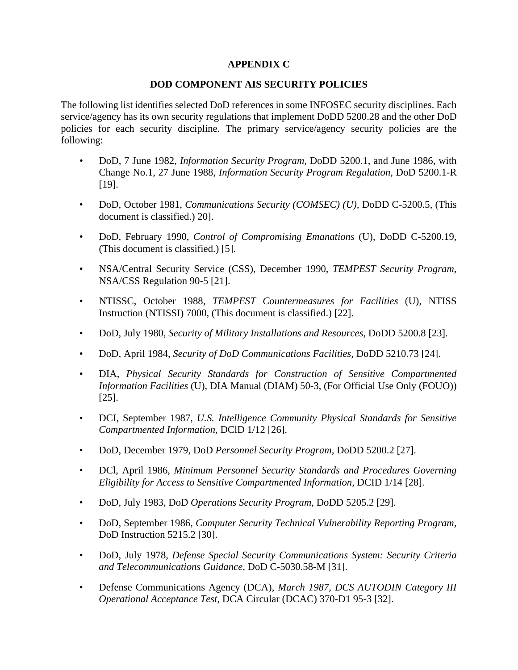# **APPENDIX C**

# **DOD COMPONENT AIS SECURITY POLICIES**

The following list identifies selected DoD references in some INFOSEC security disciplines. Each service/agency has its own security regulations that implement DoDD 5200.28 and the other DoD policies for each security discipline. The primary service/agency security policies are the following:

- DoD, 7 June 1982, *Information Security Program,* DoDD 5200.1, and June 1986, with Change No.1, 27 June 1988, *Information Security Program Regulation,* DoD 5200.1-R [19].
- DoD, October 1981, *Communications Security (COMSEC) (U),* DoDD C-5200.5, (This document is classified.) 20].
- DoD, February 1990, *Control of Compromising Emanations* (U), DoDD C-5200.19, (This document is classified.) [5].
- NSA/Central Security Service (CSS), December 1990, *TEMPEST Security Program,* NSA/CSS Regulation 90-5 [21].
- NTISSC, October 1988, *TEMPEST Countermeasures for Facilities* (U), NTISS Instruction (NTISSI) 7000, (This document is classified.) [22].
- DoD, July 1980, *Security of Military Installations and Resources,* DoDD 5200.8 [23].
- DoD, April 1984, *Security of DoD Communications Facilities,* DoDD 5210.73 [24].
- DIA, *Physical Security Standards for Construction of Sensitive Compartmented Information Facilities* (U), DIA Manual (DIAM) 50-3, (For Official Use Only (FOUO)) [25].
- DCI, September 1987, *U.S. Intelligence Community Physical Standards for Sensitive Compartmented Information,* DClD 1/12 [26].
- DoD, December 1979, DoD *Personnel Security Program,* DoDD 5200.2 [27].
- DCl, April 1986, *Minimum Personnel Security Standards and Procedures Governing Eligibility for Access to Sensitive Compartmented Information,* DCID 1/14 [28].
- DoD, July 1983, DoD *Operations Security Program,* DoDD 5205.2 [29].
- DoD, September 1986, *Computer Security Technical Vulnerability Reporting Program,* DoD Instruction 5215.2 [30].
- DoD, July 1978, *Defense Special Security Communications System: Security Criteria and Telecommunications Guidance,* DoD C-5030.58-M [31].
- Defense Communications Agency (DCA), *March 1987, DCS AUTODIN Category III Operational Acceptance Test,* DCA Circular (DCAC) 370-D1 95-3 [32].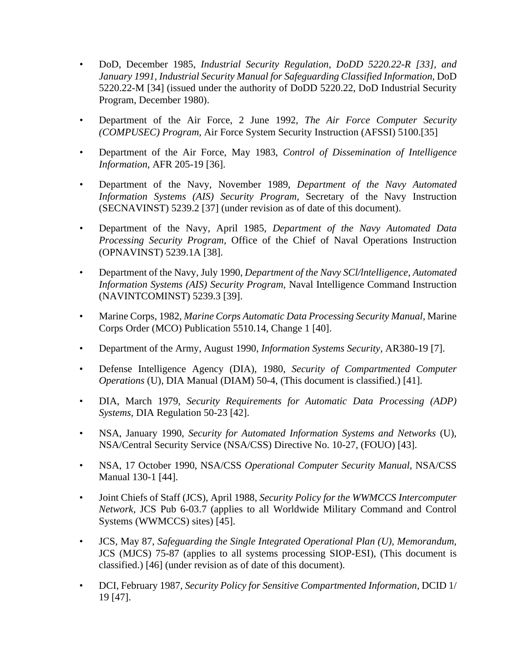- DoD, December 1985, *Industrial Security Regulation, DoDD 5220.22-R [33], and January 1991, Industrial Security Manual for Safeguarding Classified Information,* DoD 5220.22-M [34] (issued under the authority of DoDD 5220.22, DoD Industrial Security Program, December 1980).
- Department of the Air Force, 2 June 1992, *The Air Force Computer Security (COMPUSEC) Program,* Air Force System Security Instruction (AFSSI) 5100.[35]
- Department of the Air Force, May 1983, *Control of Dissemination of Intelligence Information,* AFR 205-19 [36].
- Department of the Navy, November 1989, *Department of the Navy Automated Information Systems (AIS) Security Program,* Secretary of the Navy Instruction (SECNAVINST) 5239.2 [37] (under revision as of date of this document).
- Department of the Navy, April 1985, *Department of the Navy Automated Data Processing Security Program,* Office of the Chief of Naval Operations Instruction (OPNAVINST) 5239.1A [38].
- Department of the Navy, July 1990, *Department of the Navy SCl/lntelligence, Automated Information Systems (AIS) Security Program,* Naval Intelligence Command Instruction (NAVINTCOMINST) 5239.3 [39].
- Marine Corps, 1982, *Marine Corps Automatic Data Processing Security Manual,* Marine Corps Order (MCO) Publication 5510.14, Change 1 [40].
- Department of the Army, August 1990, *Information Systems Security,* AR380-19 [7].
- Defense Intelligence Agency (DIA), 1980, *Security of Compartmented Computer Operations* (U), DIA Manual (DIAM) 50-4, (This document is classified.) [41].
- DIA, March 1979, *Security Requirements for Automatic Data Processing (ADP) Systems,* DIA Regulation 50-23 [42].
- NSA, January 1990, *Security for Automated Information Systems and Networks* (U), NSA/Central Security Service (NSA/CSS) Directive No. 10-27, (FOUO) [43].
- NSA, 17 October 1990, NSA/CSS *Operational Computer Security Manual,* NSA/CSS Manual 130-1 [44].
- Joint Chiefs of Staff (JCS), April 1988, *Security Policy for the WWMCCS Intercomputer Network,* JCS Pub 6-03.7 (applies to all Worldwide Military Command and Control Systems (WWMCCS) sites) [45].
- JCS, May 87, *Safeguarding the Single Integrated Operational Plan (U), Memorandum,* JCS (MJCS) 75-87 (applies to all systems processing SIOP-ESI), (This document is classified.) [46] (under revision as of date of this document).
- DCI, February 1987, *Security Policy for Sensitive Compartmented Information,* DCID 1/ 19 [47].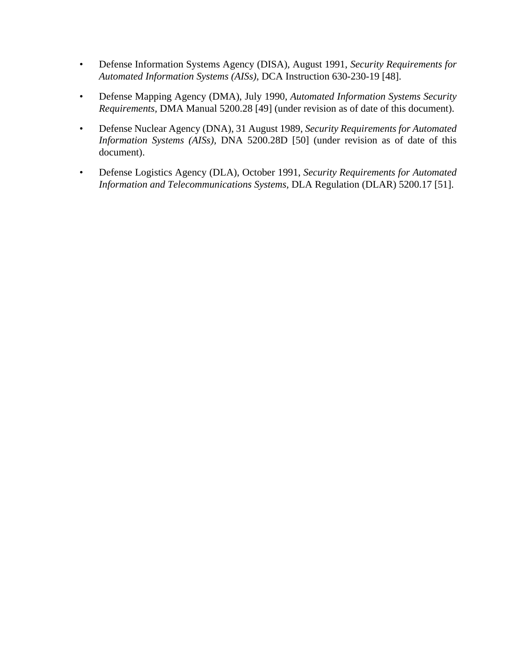- Defense Information Systems Agency (DISA), August 1991, *Security Requirements for Automated Information Systems (AISs),* DCA Instruction 630-230-19 [48].
- Defense Mapping Agency (DMA), July 1990, *Automated Information Systems Security Requirements,* DMA Manual 5200.28 [49] (under revision as of date of this document).
- Defense Nuclear Agency (DNA), 31 August 1989, *Security Requirements for Automated Information Systems (AISs),* DNA 5200.28D [50] (under revision as of date of this document).
- Defense Logistics Agency (DLA), October 1991, *Security Requirements for Automated Information and Telecommunications Systems,* DLA Regulation (DLAR) 5200.17 [51].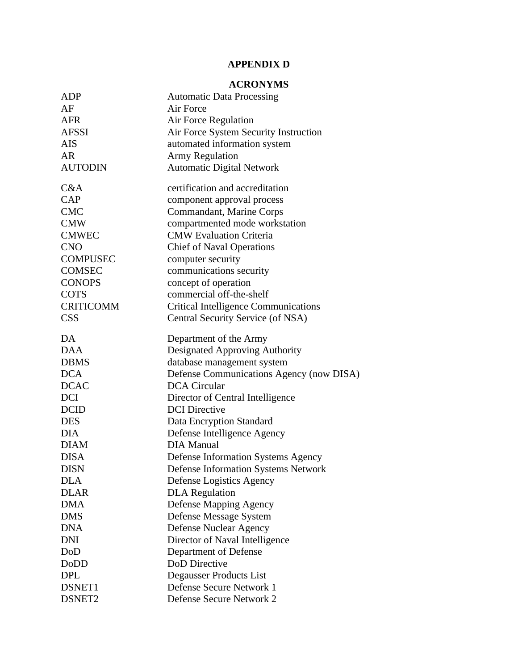# **APPENDIX D**

# **ACRONYMS**

| ADP              | <b>Automatic Data Processing</b>            |
|------------------|---------------------------------------------|
| AF               | Air Force                                   |
| <b>AFR</b>       | Air Force Regulation                        |
| <b>AFSSI</b>     | Air Force System Security Instruction       |
| <b>AIS</b>       | automated information system                |
| AR               | <b>Army Regulation</b>                      |
| <b>AUTODIN</b>   | <b>Automatic Digital Network</b>            |
| C&A              | certification and accreditation             |
| CAP              | component approval process                  |
| <b>CMC</b>       | Commandant, Marine Corps                    |
| <b>CMW</b>       | compartmented mode workstation              |
| <b>CMWEC</b>     | <b>CMW Evaluation Criteria</b>              |
| <b>CNO</b>       | <b>Chief of Naval Operations</b>            |
| <b>COMPUSEC</b>  | computer security                           |
| <b>COMSEC</b>    | communications security                     |
| <b>CONOPS</b>    | concept of operation                        |
| <b>COTS</b>      | commercial off-the-shelf                    |
| <b>CRITICOMM</b> | <b>Critical Intelligence Communications</b> |
| <b>CSS</b>       | Central Security Service (of NSA)           |
| DA               | Department of the Army                      |
| <b>DAA</b>       | Designated Approving Authority              |
| <b>DBMS</b>      | database management system                  |
| <b>DCA</b>       | Defense Communications Agency (now DISA)    |
| <b>DCAC</b>      | <b>DCA</b> Circular                         |
| <b>DCI</b>       | Director of Central Intelligence            |
| <b>DCID</b>      | <b>DCI</b> Directive                        |
| <b>DES</b>       | Data Encryption Standard                    |
| <b>DIA</b>       | Defense Intelligence Agency                 |
| <b>DIAM</b>      | <b>DIA Manual</b>                           |
| <b>DISA</b>      | <b>Defense Information Systems Agency</b>   |
| <b>DISN</b>      | <b>Defense Information Systems Network</b>  |
| <b>DLA</b>       | Defense Logistics Agency                    |
| <b>DLAR</b>      | <b>DLA</b> Regulation                       |
| <b>DMA</b>       | <b>Defense Mapping Agency</b>               |
| <b>DMS</b>       | Defense Message System                      |
| <b>DNA</b>       | <b>Defense Nuclear Agency</b>               |
| <b>DNI</b>       | Director of Naval Intelligence              |
| DoD              | Department of Defense                       |
| DoDD             | <b>DoD</b> Directive                        |
| <b>DPL</b>       | Degausser Products List                     |
| DSNET1           | Defense Secure Network 1                    |
| DSNET2           | <b>Defense Secure Network 2</b>             |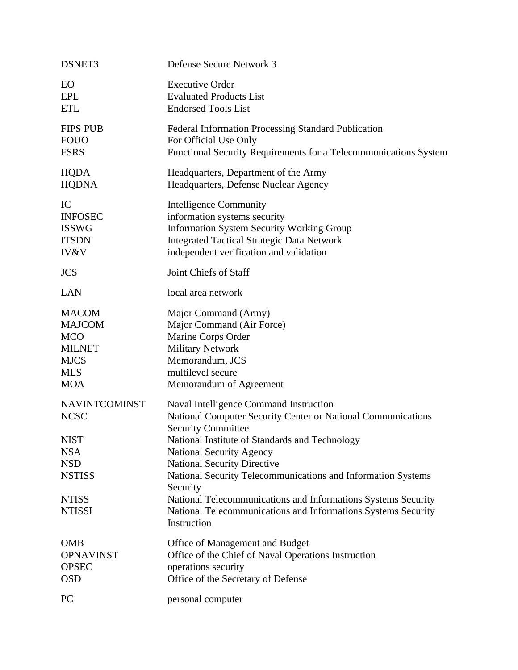| DSNET3                                                                                    | Defense Secure Network 3                                                                                                                                                                                                                                                                                                                                                          |
|-------------------------------------------------------------------------------------------|-----------------------------------------------------------------------------------------------------------------------------------------------------------------------------------------------------------------------------------------------------------------------------------------------------------------------------------------------------------------------------------|
| EO                                                                                        | <b>Executive Order</b>                                                                                                                                                                                                                                                                                                                                                            |
| <b>EPL</b>                                                                                | <b>Evaluated Products List</b>                                                                                                                                                                                                                                                                                                                                                    |
| <b>ETL</b>                                                                                | <b>Endorsed Tools List</b>                                                                                                                                                                                                                                                                                                                                                        |
| <b>FIPS PUB</b>                                                                           | <b>Federal Information Processing Standard Publication</b>                                                                                                                                                                                                                                                                                                                        |
| <b>FOUO</b>                                                                               | For Official Use Only                                                                                                                                                                                                                                                                                                                                                             |
| <b>FSRS</b>                                                                               | Functional Security Requirements for a Telecommunications System                                                                                                                                                                                                                                                                                                                  |
| <b>HQDA</b>                                                                               | Headquarters, Department of the Army                                                                                                                                                                                                                                                                                                                                              |
| <b>HQDNA</b>                                                                              | Headquarters, Defense Nuclear Agency                                                                                                                                                                                                                                                                                                                                              |
| IC                                                                                        | <b>Intelligence Community</b>                                                                                                                                                                                                                                                                                                                                                     |
| <b>INFOSEC</b>                                                                            | information systems security                                                                                                                                                                                                                                                                                                                                                      |
| <b>ISSWG</b>                                                                              | <b>Information System Security Working Group</b>                                                                                                                                                                                                                                                                                                                                  |
| <b>ITSDN</b>                                                                              | <b>Integrated Tactical Strategic Data Network</b>                                                                                                                                                                                                                                                                                                                                 |
| IV&V                                                                                      | independent verification and validation                                                                                                                                                                                                                                                                                                                                           |
| <b>JCS</b>                                                                                | Joint Chiefs of Staff                                                                                                                                                                                                                                                                                                                                                             |
| <b>LAN</b>                                                                                | local area network                                                                                                                                                                                                                                                                                                                                                                |
| <b>MACOM</b>                                                                              | Major Command (Army)                                                                                                                                                                                                                                                                                                                                                              |
| <b>MAJCOM</b>                                                                             | Major Command (Air Force)                                                                                                                                                                                                                                                                                                                                                         |
| <b>MCO</b>                                                                                | Marine Corps Order                                                                                                                                                                                                                                                                                                                                                                |
| <b>MILNET</b>                                                                             | <b>Military Network</b>                                                                                                                                                                                                                                                                                                                                                           |
| <b>MJCS</b>                                                                               | Memorandum, JCS                                                                                                                                                                                                                                                                                                                                                                   |
| <b>MLS</b>                                                                                | multilevel secure                                                                                                                                                                                                                                                                                                                                                                 |
| <b>MOA</b>                                                                                | Memorandum of Agreement                                                                                                                                                                                                                                                                                                                                                           |
| <b>NAVINTCOMINST</b>                                                                      | Naval Intelligence Command Instruction                                                                                                                                                                                                                                                                                                                                            |
| <b>NCSC</b>                                                                               | National Computer Security Center or National Communications                                                                                                                                                                                                                                                                                                                      |
| <b>NIST</b><br><b>NSA</b><br><b>NSD</b><br><b>NSTISS</b><br><b>NTISS</b><br><b>NTISSI</b> | <b>Security Committee</b><br>National Institute of Standards and Technology<br><b>National Security Agency</b><br><b>National Security Directive</b><br>National Security Telecommunications and Information Systems<br>Security<br>National Telecommunications and Informations Systems Security<br>National Telecommunications and Informations Systems Security<br>Instruction |
| <b>OMB</b>                                                                                | Office of Management and Budget                                                                                                                                                                                                                                                                                                                                                   |
| <b>OPNAVINST</b>                                                                          | Office of the Chief of Naval Operations Instruction                                                                                                                                                                                                                                                                                                                               |
| <b>OPSEC</b>                                                                              | operations security                                                                                                                                                                                                                                                                                                                                                               |
| <b>OSD</b>                                                                                | Office of the Secretary of Defense                                                                                                                                                                                                                                                                                                                                                |
| <b>PC</b>                                                                                 | personal computer                                                                                                                                                                                                                                                                                                                                                                 |
|                                                                                           |                                                                                                                                                                                                                                                                                                                                                                                   |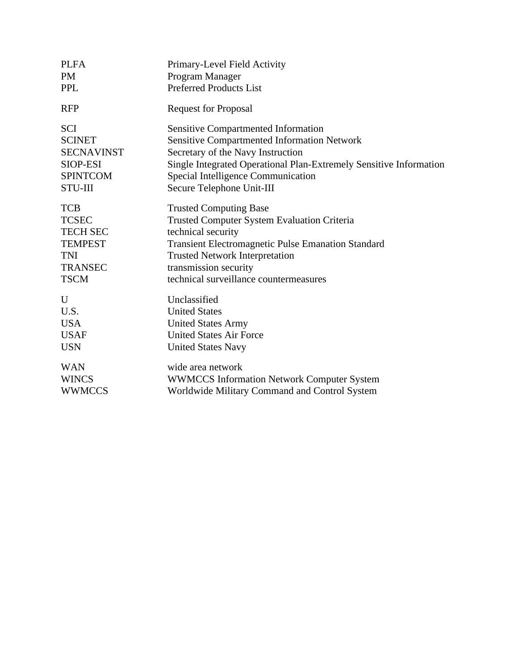| <b>PLFA</b>       | Primary-Level Field Activity                                       |
|-------------------|--------------------------------------------------------------------|
| <b>PM</b>         | Program Manager                                                    |
| <b>PPL</b>        | <b>Preferred Products List</b>                                     |
| <b>RFP</b>        | <b>Request for Proposal</b>                                        |
| <b>SCI</b>        | <b>Sensitive Compartmented Information</b>                         |
| <b>SCINET</b>     | <b>Sensitive Compartmented Information Network</b>                 |
| <b>SECNAVINST</b> | Secretary of the Navy Instruction                                  |
| SIOP-ESI          | Single Integrated Operational Plan-Extremely Sensitive Information |
| <b>SPINTCOM</b>   | Special Intelligence Communication                                 |
| <b>STU-III</b>    | Secure Telephone Unit-III                                          |
| <b>TCB</b>        | <b>Trusted Computing Base</b>                                      |
| <b>TCSEC</b>      | Trusted Computer System Evaluation Criteria                        |
| <b>TECH SEC</b>   | technical security                                                 |
| <b>TEMPEST</b>    | Transient Electromagnetic Pulse Emanation Standard                 |
| <b>TNI</b>        | <b>Trusted Network Interpretation</b>                              |
| <b>TRANSEC</b>    | transmission security                                              |
| <b>TSCM</b>       | technical surveillance countermeasures                             |
| U                 | Unclassified                                                       |
| U.S.              | <b>United States</b>                                               |
| <b>USA</b>        | <b>United States Army</b>                                          |
| <b>USAF</b>       | <b>United States Air Force</b>                                     |
| <b>USN</b>        | <b>United States Navy</b>                                          |
| <b>WAN</b>        | wide area network                                                  |
| <b>WINCS</b>      | <b>WWMCCS Information Network Computer System</b>                  |
| <b>WWMCCS</b>     | Worldwide Military Command and Control System                      |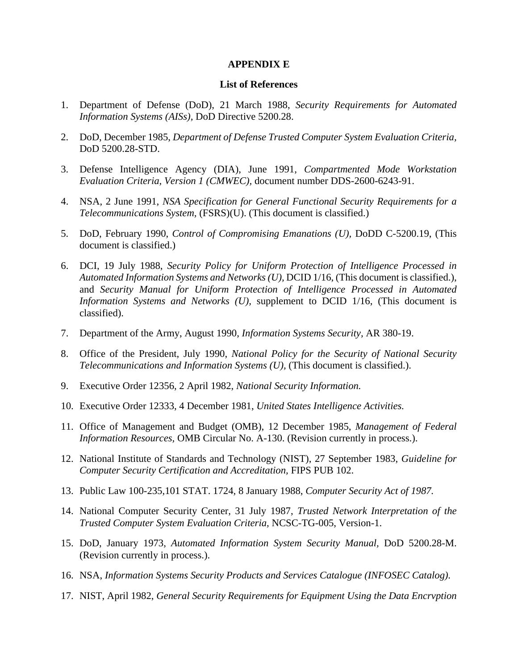### **APPENDIX E**

#### **List of References**

- 1. Department of Defense (DoD), 21 March 1988, *Security Requirements for Automated Information Systems (AISs),* DoD Directive 5200.28.
- 2. DoD, December 1985, *Department of Defense Trusted Computer System Evaluation Criteria,* DoD 5200.28-STD.
- 3. Defense Intelligence Agency (DIA), June 1991, *Compartmented Mode Workstation Evaluation Criteria, Version 1 (CMWEC),* document number DDS-2600-6243-91.
- 4. NSA, 2 June 1991, *NSA Specification for General Functional Security Requirements for a Telecommunications System,* (FSRS)(U). (This document is classified.)
- 5. DoD, February 1990, *Control of Compromising Emanations (U),* DoDD C-5200.19, (This document is classified.)
- 6. DCI, 19 July 1988, *Security Policy for Uniform Protection of Intelligence Processed in Automated Information Systems and Networks (U),* DCID 1/16, (This document is classified.), and *Security Manual for Uniform Protection of Intelligence Processed in Automated Information Systems and Networks (U),* supplement to DCID 1/16, (This document is classified).
- 7. Department of the Army, August 1990, *Information Systems Security,* AR 380-19.
- 8. Office of the President, July 1990, *National Policy for the Security of National Security Telecommunications and Information Systems (U),* (This document is classified.).
- 9. Executive Order 12356, 2 April 1982, *National Security Information.*
- 10. Executive Order 12333, 4 December 1981, *United States Intelligence Activities.*
- 11. Office of Management and Budget (OMB), 12 December 1985, *Management of Federal Information Resources,* OMB Circular No. A-130. (Revision currently in process.).
- 12. National Institute of Standards and Technology (NIST), 27 September 1983, *Guideline for Computer Security Certification and Accreditation,* FIPS PUB 102.
- 13. Public Law 100-235,101 STAT. 1724, 8 January 1988, *Computer Security Act of 1987.*
- 14. National Computer Security Center, 31 July 1987, *Trusted Network Interpretation of the Trusted Computer System Evaluation Criteria,* NCSC-TG-005, Version-1.
- 15. DoD, January 1973, *Automated Information System Security Manual,* DoD 5200.28-M. (Revision currently in process.).
- 16. NSA, *Information Systems Security Products and Services Catalogue (INFOSEC Catalog).*
- 17. NIST, April 1982, *General Security Requirements for Equipment Using the Data Encrvption*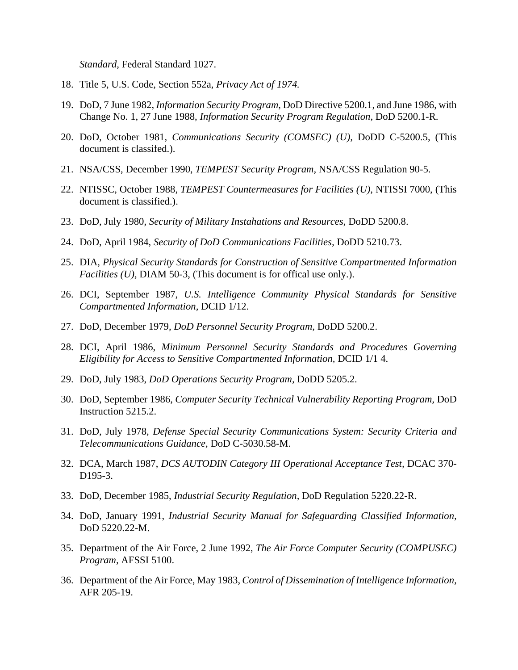*Standard,* Federal Standard 1027.

- 18. Title 5, U.S. Code, Section 552a, *Privacy Act of 1974.*
- 19. DoD, 7 June 1982, *Information Security Program,* DoD Directive 5200.1, and June 1986, with Change No. 1, 27 June 1988, *Information Security Program Regulation,* DoD 5200.1-R.
- 20. DoD, October 1981, *Communications Security (COMSEC) (U),* DoDD C-5200.5, (This document is classifed.).
- 21. NSA/CSS, December 1990, *TEMPEST Security Program,* NSA/CSS Regulation 90-5.
- 22. NTISSC, October 1988, *TEMPEST Countermeasures for Facilities (U),* NTISSI 7000, (This document is classified.).
- 23. DoD, July 1980, *Security of Military Instahations and Resources,* DoDD 5200.8.
- 24. DoD, April 1984, *Security of DoD Communications Facilities,* DoDD 5210.73.
- 25. DIA, *Physical Security Standards for Construction of Sensitive Compartmented Information Facilities (U),* DIAM 50-3, (This document is for offical use only.).
- 26. DCI, September 1987, *U.S. Intelligence Community Physical Standards for Sensitive Compartmented Information,* DCID 1/12.
- 27. DoD, December 1979, *DoD Personnel Security Program,* DoDD 5200.2.
- 28. DCI, April 1986, *Minimum Personnel Security Standards and Procedures Governing Eligibility for Access to Sensitive Compartmented Information,* DCID 1/1 4.
- 29. DoD, July 1983, *DoD Operations Security Program,* DoDD 5205.2.
- 30. DoD, September 1986, *Computer Security Technical Vulnerability Reporting Program,* DoD Instruction 5215.2.
- 31. DoD, July 1978, *Defense Special Security Communications System: Security Criteria and Telecommunications Guidance,* DoD C-5030.58-M.
- 32. DCA, March 1987, *DCS AUTODIN Category III Operational Acceptance Test,* DCAC 370- D195-3.
- 33. DoD, December 1985, *Industrial Security Regulation,* DoD Regulation 5220.22-R.
- 34. DoD, January 1991, *Industrial Security Manual for Safeguarding Classified Information,* DoD 5220.22-M.
- 35. Department of the Air Force, 2 June 1992, *The Air Force Computer Security (COMPUSEC) Program,* AFSSI 5100.
- 36. Department of the Air Force, May 1983, *Control of Dissemination of Intelligence Information,* AFR 205-19.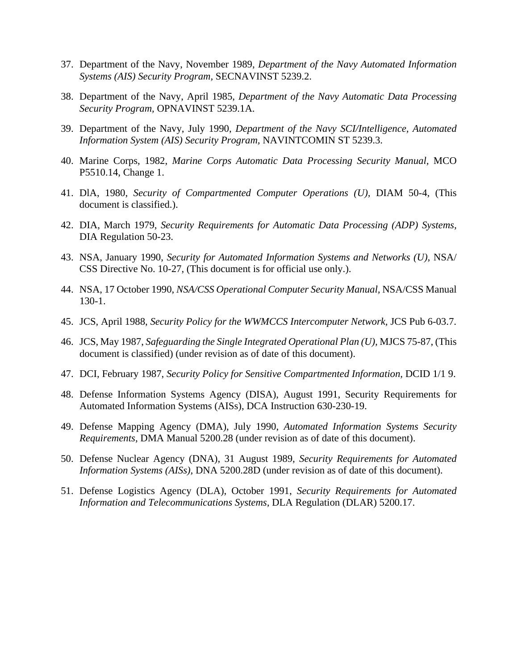- 37. Department of the Navy, November 1989, *Department of the Navy Automated Information Systems (AIS) Security Program,* SECNAVINST 5239.2.
- 38. Department of the Navy, April 1985, *Department of the Navy Automatic Data Processing Security Program,* OPNAVINST 5239.1A.
- 39. Department of the Navy, July 1990, *Department of the Navy SCI/Intelligence, Automated Information System (AIS) Security Program,* NAVINTCOMIN ST 5239.3.
- 40. Marine Corps, 1982, *Marine Corps Automatic Data Processing Security Manual,* MCO P5510.14, Change 1.
- 41. DlA, 1980, *Security of Compartmented Computer Operations (U),* DIAM 50-4, (This document is classified.).
- 42. DIA, March 1979, *Security Requirements for Automatic Data Processing (ADP) Systems,* DIA Regulation 50-23.
- 43. NSA, January 1990, *Security for Automated Information Systems and Networks (U),* NSA/ CSS Directive No. 10-27, (This document is for official use only.).
- 44. NSA, 17 October 1990, *NSA/CSS Operational Computer Security Manual,* NSA/CSS Manual 130-1.
- 45. JCS, April 1988, *Security Policy for the WWMCCS Intercomputer Network,* JCS Pub 6-03.7.
- 46. JCS, May 1987, *Safeguarding the Single Integrated Operational Plan (U),* MJCS 75-87, (This document is classified) (under revision as of date of this document).
- 47. DCI, February 1987, *Security Policy for Sensitive Compartmented Information,* DCID 1/1 9.
- 48. Defense Information Systems Agency (DISA), August 1991, Security Requirements for Automated Information Systems (AISs), DCA Instruction 630-230-19.
- 49. Defense Mapping Agency (DMA), July 1990, *Automated Information Systems Security Requirements,* DMA Manual 5200.28 (under revision as of date of this document).
- 50. Defense Nuclear Agency (DNA), 31 August 1989, *Security Requirements for Automated Information Systems (AISs),* DNA 5200.28D (under revision as of date of this document).
- 51. Defense Logistics Agency (DLA), October 1991, *Security Requirements for Automated Information and Telecommunications Systems,* DLA Regulation (DLAR) 5200.17.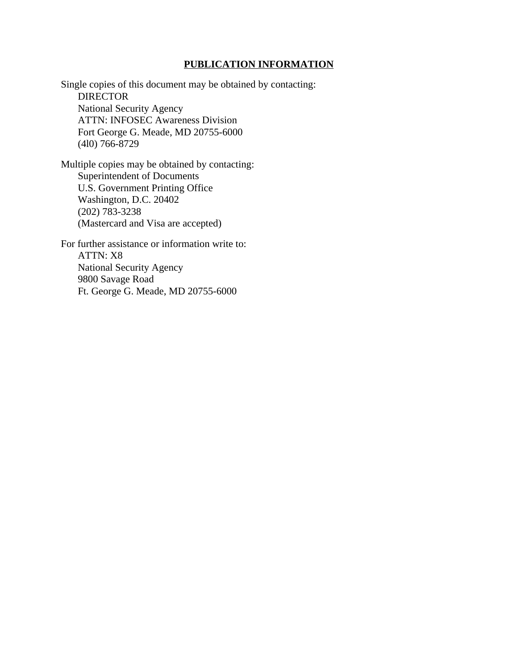#### **PUBLICATION INFORMATION**

Single copies of this document may be obtained by contacting: **DIRECTOR** National Security Agency ATTN: INFOSEC Awareness Division Fort George G. Meade, MD 20755-6000 (4l0) 766-8729

Multiple copies may be obtained by contacting: Superintendent of Documents U.S. Government Printing Office Washington, D.C. 20402 (202) 783-3238 (Mastercard and Visa are accepted)

For further assistance or information write to: ATTN: X8 National Security Agency 9800 Savage Road Ft. George G. Meade, MD 20755-6000